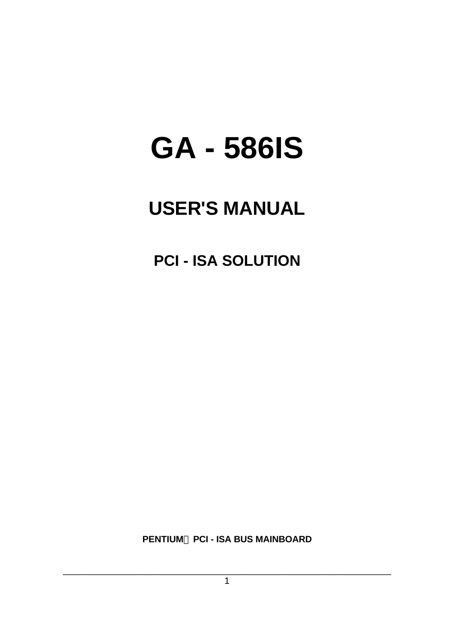# **GA - 586IS**

# **USER'S MANUAL**

**PCI - ISA SOLUTION**

**PENTIUMä PCI - ISA BUS MAINBOARD**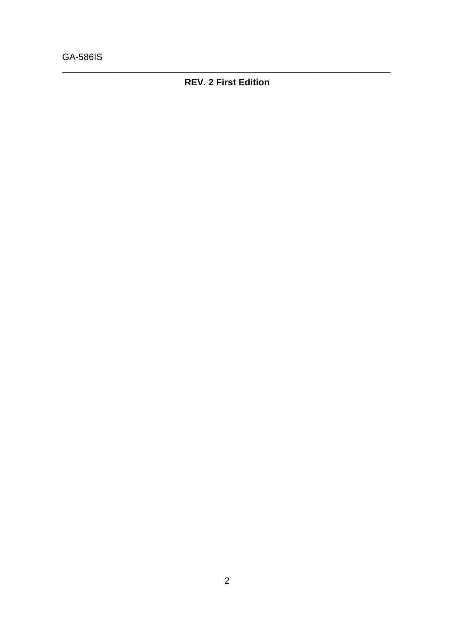### **REV. 2 First Edition**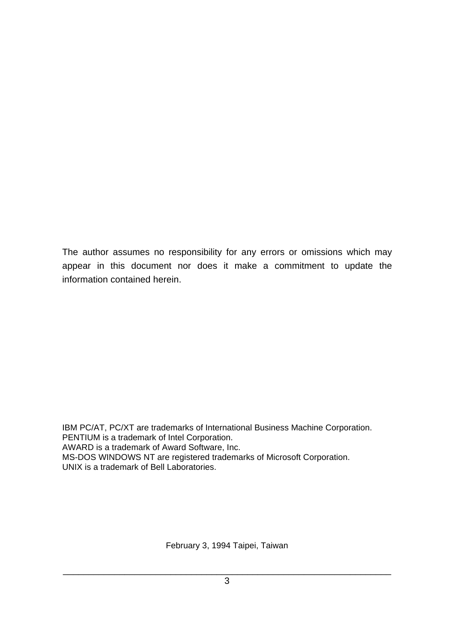The author assumes no responsibility for any errors or omissions which may appear in this document nor does it make a commitment to update the information contained herein.

IBM PC/AT, PC/XT are trademarks of International Business Machine Corporation. PENTIUM is a trademark of Intel Corporation. AWARD is a trademark of Award Software, Inc. MS-DOS WINDOWS NT are registered trademarks of Microsoft Corporation. UNIX is a trademark of Bell Laboratories.

February 3, 1994 Taipei, Taiwan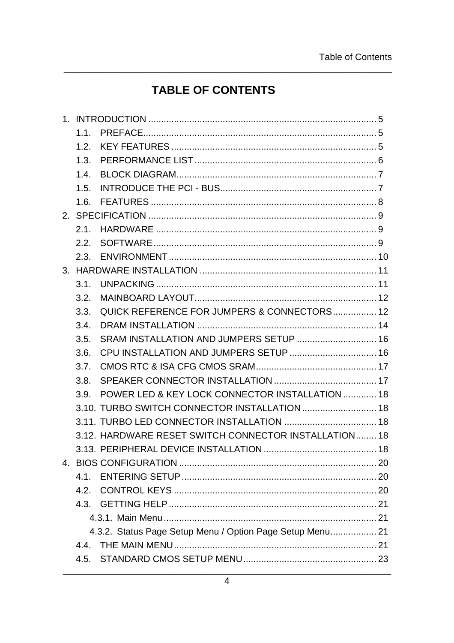# **TABLE OF CONTENTS**

| 1.1. |                                                           |  |
|------|-----------------------------------------------------------|--|
|      |                                                           |  |
| 1.3. |                                                           |  |
|      |                                                           |  |
| 1.5. |                                                           |  |
|      |                                                           |  |
|      |                                                           |  |
|      |                                                           |  |
|      |                                                           |  |
|      |                                                           |  |
|      |                                                           |  |
| 3.1. |                                                           |  |
| 3.2. |                                                           |  |
| 3.3. | QUICK REFERENCE FOR JUMPERS & CONNECTORS 12               |  |
| 3.4. |                                                           |  |
| 3.5. | SRAM INSTALLATION AND JUMPERS SETUP  16                   |  |
| 3.6. | CPU INSTALLATION AND JUMPERS SETUP  16                    |  |
| 3.7. |                                                           |  |
| 3.8. |                                                           |  |
|      | 3.9. POWER LED & KEY LOCK CONNECTOR INSTALLATION  18      |  |
|      | 3.10. TURBO SWITCH CONNECTOR INSTALLATION  18             |  |
|      |                                                           |  |
|      | 3.12. HARDWARE RESET SWITCH CONNECTOR INSTALLATION 18     |  |
|      |                                                           |  |
|      |                                                           |  |
|      |                                                           |  |
|      |                                                           |  |
|      |                                                           |  |
|      |                                                           |  |
|      | 4.3.2. Status Page Setup Menu / Option Page Setup Menu 21 |  |
|      |                                                           |  |
|      |                                                           |  |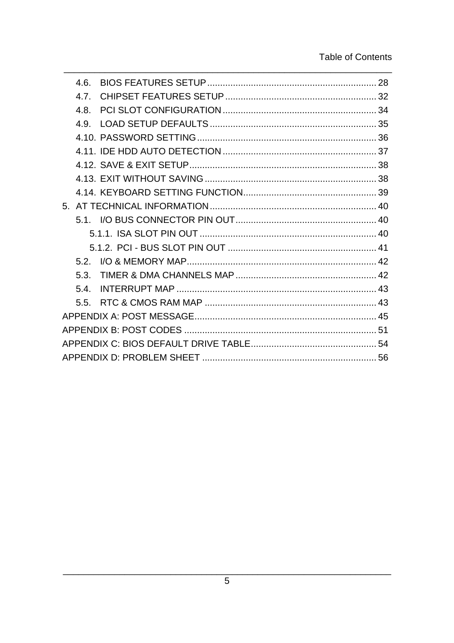| 4.6. |  |
|------|--|
| 47   |  |
| 4.8  |  |
| 49   |  |
|      |  |
|      |  |
|      |  |
|      |  |
|      |  |
|      |  |
|      |  |
|      |  |
|      |  |
|      |  |
| 5.3. |  |
| 5.4  |  |
| 5.5  |  |
|      |  |
|      |  |
|      |  |
|      |  |
|      |  |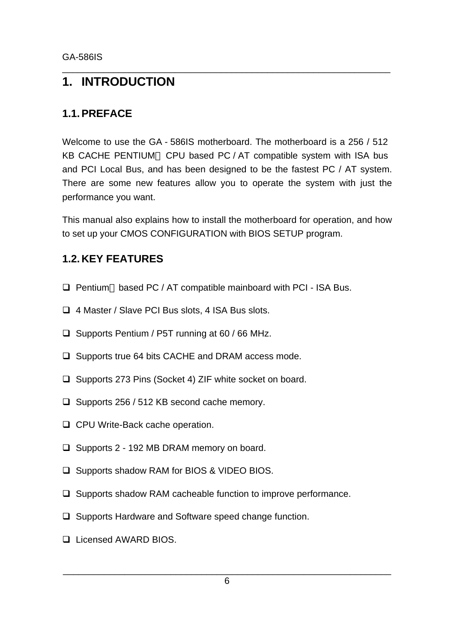# **1. INTRODUCTION**

# **1.1.PREFACE**

Welcome to use the GA - 586IS motherboard. The motherboard is a 256 / 512 KB CACHE PENTIUM<sup>™</sup> CPU based PC / AT compatible system with ISA bus and PCI Local Bus, and has been designed to be the fastest PC / AT system. There are some new features allow you to operate the system with just the performance you want.

\_\_\_\_\_\_\_\_\_\_\_\_\_\_\_\_\_\_\_\_\_\_\_\_\_\_\_\_\_\_\_\_\_\_\_\_\_\_\_\_\_\_\_\_\_\_\_\_\_\_\_\_\_\_\_\_\_\_\_\_\_\_\_\_

This manual also explains how to install the motherboard for operation, and how to set up your CMOS CONFIGURATION with BIOS SETUP program.

# **1.2. KEY FEATURES**

- $\Box$  Pentium<sup>TM</sup> based PC / AT compatible mainboard with PCI ISA Bus.
- $\Box$  4 Master / Slave PCI Bus slots, 4 ISA Bus slots.
- $\Box$  Supports Pentium / P5T running at 60 / 66 MHz.
- $\Box$  Supports true 64 bits CACHE and DRAM access mode.
- $\Box$  Supports 273 Pins (Socket 4) ZIF white socket on board.
- $\Box$  Supports 256 / 512 KB second cache memory.
- □ CPU Write-Back cache operation.
- $\Box$  Supports 2 192 MB DRAM memory on board.
- □ Supports shadow RAM for BIOS & VIDEO BIOS.
- $\Box$  Supports shadow RAM cacheable function to improve performance.
- $\Box$  Supports Hardware and Software speed change function.
- □ Licensed AWARD BIOS.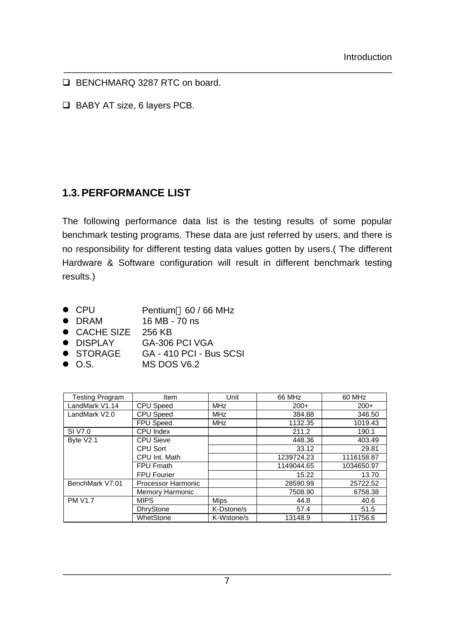- **Q BENCHMARQ 3287 RTC on board.**
- □ BABY AT size, 6 layers PCB.

# **1.3.PERFORMANCE LIST**

The following performance data list is the testing results of some popular benchmark testing programs. These data are just referred by users, and there is no responsibility for different testing data values gotten by users.( The different Hardware & Software configuration will result in different benchmark testing results.)

\_\_\_\_\_\_\_\_\_\_\_\_\_\_\_\_\_\_\_\_\_\_\_\_\_\_\_\_\_\_\_\_\_\_\_\_\_\_\_\_\_\_\_\_\_\_\_\_\_\_\_\_\_\_\_\_\_\_\_\_\_\_\_\_

- $\bullet$  CPU Pentium<sup>™</sup> 60 / 66 MHz
- - l DRAM 16 MB 70 ns
- l CACHE SIZE 256 KB
- DISPLAY GA-306 PCI VGA
- l STORAGE GA 410 PCI Bus SCSI
- $\bullet$  O.S. MS DOS V6.2

| <b>Testing Program</b> | Item               | Unit        | 66 MHz     | 60 MHz     |
|------------------------|--------------------|-------------|------------|------------|
| LandMark V1.14         | CPU Speed          | <b>MHz</b>  | $200+$     | $200+$     |
| LandMark V2.0          | CPU Speed          | <b>MHz</b>  | 384.88     | 346.50     |
|                        | FPU Speed          | <b>MHz</b>  | 1132.35    | 1019.43    |
| SI V7.0                | CPU Index          |             | 211.2      | 190.1      |
| Byte V2.1              | <b>CPU Sieve</b>   |             | 448.36     | 403.49     |
|                        | CPU Sort           |             | 33.12      | 29.81      |
|                        | CPU Int. Math      |             | 1239724.23 | 1116158.87 |
|                        | FPU Fmath          |             | 1149044.65 | 1034650.97 |
|                        | <b>FPU Fourier</b> |             | 15.22      | 13.70      |
| BenchMark V7.01        | Processor Harmonic |             | 28590.99   | 25722.52   |
|                        | Memory Harmonic    |             | 7508.90    | 6758.38    |
| <b>PM V1.7</b>         | <b>MIPS</b>        | <b>Mips</b> | 44.8       | 40.6       |
|                        | <b>DhryStone</b>   | K-Dstone/s  | 57.4       | 51.5       |
|                        | WhetStone          | K-Wstone/s  | 13148.9    | 11756.6    |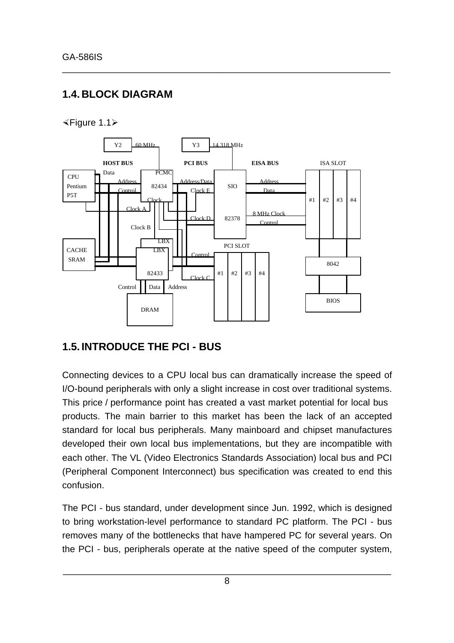# **1.4. BLOCK DIAGRAM**

×Figure 1.1ÿ



\_\_\_\_\_\_\_\_\_\_\_\_\_\_\_\_\_\_\_\_\_\_\_\_\_\_\_\_\_\_\_\_\_\_\_\_\_\_\_\_\_\_\_\_\_\_\_\_\_\_\_\_\_\_\_\_\_\_\_\_\_\_\_\_

# **1.5. INTRODUCE THE PCI - BUS**

Connecting devices to a CPU local bus can dramatically increase the speed of I/O-bound peripherals with only a slight increase in cost over traditional systems. This price / performance point has created a vast market potential for local bus products. The main barrier to this market has been the lack of an accepted standard for local bus peripherals. Many mainboard and chipset manufactures developed their own local bus implementations, but they are incompatible with each other. The VL (Video Electronics Standards Association) local bus and PCI (Peripheral Component Interconnect) bus specification was created to end this confusion.

The PCI - bus standard, under development since Jun. 1992, which is designed to bring workstation-level performance to standard PC platform. The PCI - bus removes many of the bottlenecks that have hampered PC for several years. On the PCI - bus, peripherals operate at the native speed of the computer system,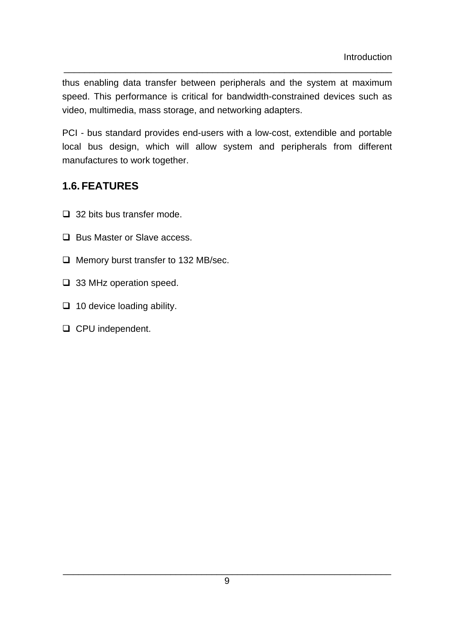thus enabling data transfer between peripherals and the system at maximum speed. This performance is critical for bandwidth-constrained devices such as video, multimedia, mass storage, and networking adapters.

\_\_\_\_\_\_\_\_\_\_\_\_\_\_\_\_\_\_\_\_\_\_\_\_\_\_\_\_\_\_\_\_\_\_\_\_\_\_\_\_\_\_\_\_\_\_\_\_\_\_\_\_\_\_\_\_\_\_\_\_\_\_\_\_

PCI - bus standard provides end-users with a low-cost, extendible and portable local bus design, which will allow system and peripherals from different manufactures to work together.

# **1.6.FEATURES**

- $\Box$  32 bits bus transfer mode.
- $\Box$  Bus Master or Slave access.
- $\Box$  Memory burst transfer to 132 MB/sec.
- $\Box$  33 MHz operation speed.
- $\Box$  10 device loading ability.
- □ CPU independent.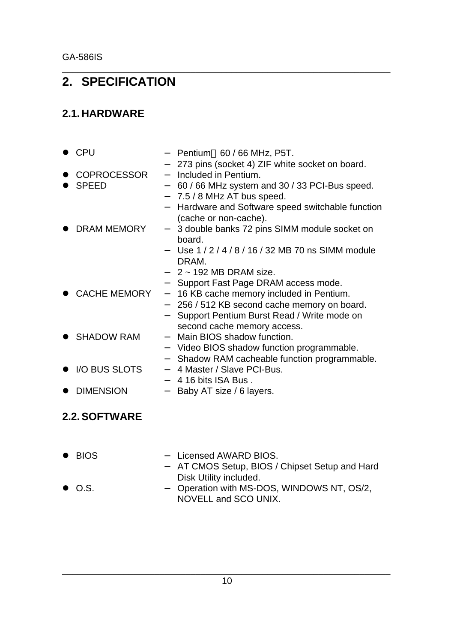# **2. SPECIFICATION**

# **2.1. HARDWARE**

|           | $\bullet$ CPU       |                          | - Pentium™ 60 / 66 MHz, P5T.                    |
|-----------|---------------------|--------------------------|-------------------------------------------------|
|           |                     |                          | 273 pins (socket 4) ZIF white socket on board.  |
|           | <b>COPROCESSOR</b>  |                          | Included in Pentium.                            |
|           | <b>SPEED</b>        |                          | 60 / 66 MHz system and 30 / 33 PCI-Bus speed.   |
|           |                     |                          | 7.5 / 8 MHz AT bus speed.                       |
|           |                     |                          | Hardware and Software speed switchable function |
|           |                     |                          | (cache or non-cache).                           |
|           | DRAM MEMORY         |                          | 3 double banks 72 pins SIMM module socket on    |
|           |                     |                          | board.                                          |
|           |                     |                          | $-$ Use 1/2/4/8/16/32 MB 70 ns SIMM module      |
|           |                     |                          | DRAM.                                           |
|           |                     |                          | $2 \sim 192$ MB DRAM size.                      |
|           |                     |                          | Support Fast Page DRAM access mode.             |
|           | <b>CACHE MEMORY</b> | $\overline{\phantom{m}}$ | 16 KB cache memory included in Pentium.         |
|           |                     |                          | 256 / 512 KB second cache memory on board.      |
|           |                     |                          | Support Pentium Burst Read / Write mode on      |
|           |                     |                          | second cache memory access.                     |
|           | ● SHADOW RAM        |                          | - Main BIOS shadow function.                    |
|           |                     |                          | - Video BIOS shadow function programmable.      |
|           |                     |                          | - Shadow RAM cacheable function programmable.   |
| $\bullet$ | I/O BUS SLOTS       |                          | - 4 Master / Slave PCI-Bus.                     |
|           |                     |                          | 4 16 bits ISA Bus.                              |
|           | <b>DIMENSION</b>    |                          | Baby AT size / 6 layers.                        |
|           |                     |                          |                                                 |

\_\_\_\_\_\_\_\_\_\_\_\_\_\_\_\_\_\_\_\_\_\_\_\_\_\_\_\_\_\_\_\_\_\_\_\_\_\_\_\_\_\_\_\_\_\_\_\_\_\_\_\_\_\_\_\_\_\_\_\_\_\_\_\_

# **2.2.SOFTWARE**

| $\bullet$ BIOS | - Licensed AWARD BIOS.                         |
|----------------|------------------------------------------------|
|                | - AT CMOS Setup, BIOS / Chipset Setup and Hard |
|                | Disk Utility included.                         |
| $\bullet$ O.S. | - Operation with MS-DOS, WINDOWS NT, OS/2,     |
|                | NOVELL and SCO UNIX.                           |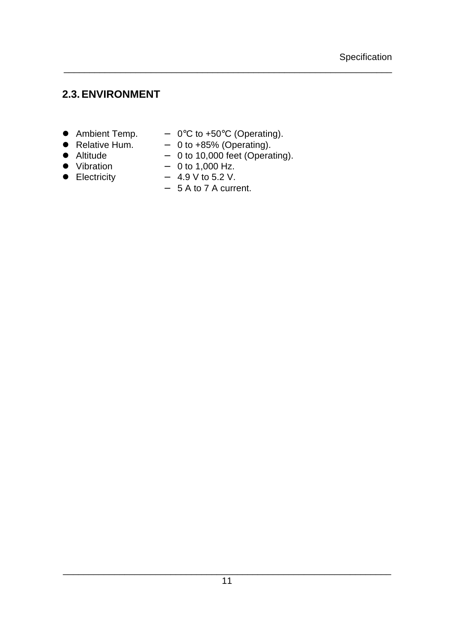# **2.3.ENVIRONMENT**

- l Ambient Temp. − 0°C to +50°C (Operating).
- Relative Hum. 0 to +85% (Operating).

\_\_\_\_\_\_\_\_\_\_\_\_\_\_\_\_\_\_\_\_\_\_\_\_\_\_\_\_\_\_\_\_\_\_\_\_\_\_\_\_\_\_\_\_\_\_\_\_\_\_\_\_\_\_\_\_\_\_\_\_\_\_\_\_

- 
- Altitude  $-$  0 to 10,000 feet (Operating).
- -
- Vibration − 0 to 1,000 Hz.<br>• Electricity − 4.9 V to 5.2 V.
	- $-4.9$  V to 5.2 V. − 5 A to 7 A current.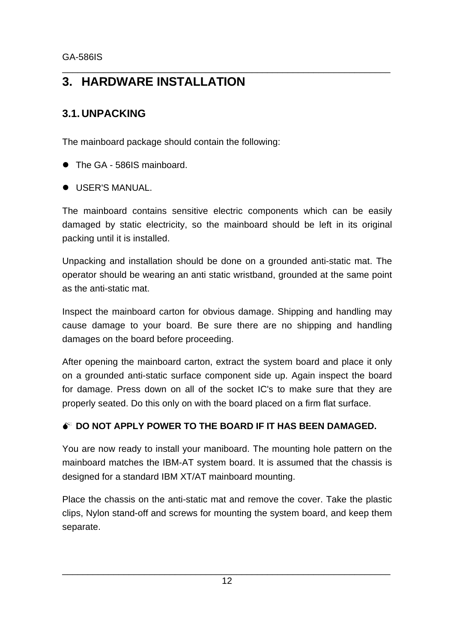### \_\_\_\_\_\_\_\_\_\_\_\_\_\_\_\_\_\_\_\_\_\_\_\_\_\_\_\_\_\_\_\_\_\_\_\_\_\_\_\_\_\_\_\_\_\_\_\_\_\_\_\_\_\_\_\_\_\_\_\_\_\_\_\_ **3. HARDWARE INSTALLATION**

# **3.1. UNPACKING**

The mainboard package should contain the following:

- The GA 586IS mainboard.
- USER'S MANUAL.

The mainboard contains sensitive electric components which can be easily damaged by static electricity, so the mainboard should be left in its original packing until it is installed.

Unpacking and installation should be done on a grounded anti-static mat. The operator should be wearing an anti static wristband, grounded at the same point as the anti-static mat.

Inspect the mainboard carton for obvious damage. Shipping and handling may cause damage to your board. Be sure there are no shipping and handling damages on the board before proceeding.

After opening the mainboard carton, extract the system board and place it only on a grounded anti-static surface component side up. Again inspect the board for damage. Press down on all of the socket IC's to make sure that they are properly seated. Do this only on with the board placed on a firm flat surface.

# **M DO NOT APPLY POWER TO THE BOARD IF IT HAS BEEN DAMAGED.**

You are now ready to install your maniboard. The mounting hole pattern on the mainboard matches the IBM-AT system board. It is assumed that the chassis is designed for a standard IBM XT/AT mainboard mounting.

Place the chassis on the anti-static mat and remove the cover. Take the plastic clips, Nylon stand-off and screws for mounting the system board, and keep them separate.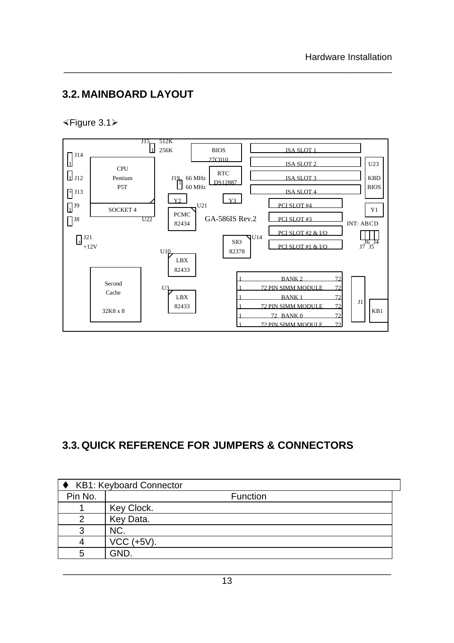# **3.2. MAINBOARD LAYOUT**

### ×Figure 3.1ÿ



\_\_\_\_\_\_\_\_\_\_\_\_\_\_\_\_\_\_\_\_\_\_\_\_\_\_\_\_\_\_\_\_\_\_\_\_\_\_\_\_\_\_\_\_\_\_\_\_\_\_\_\_\_\_\_\_\_\_\_\_\_\_\_\_

# **3.3.QUICK REFERENCE FOR JUMPERS & CONNECTORS**

|         | ♦ KB1: Keyboard Connector |  |  |
|---------|---------------------------|--|--|
| Pin No. | Function                  |  |  |
|         | Key Clock.                |  |  |
|         | Key Data.                 |  |  |
| 3       | NC.                       |  |  |
|         | VCC (+5V).                |  |  |
| 5       | GND.                      |  |  |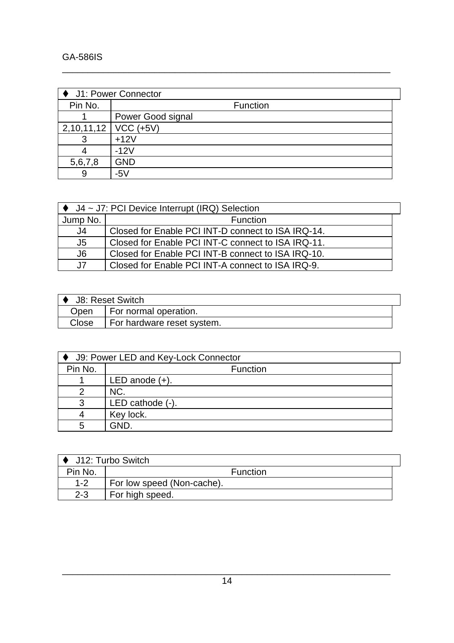|                        | ◆ J1: Power Connector |  |  |
|------------------------|-----------------------|--|--|
| Pin No.                | Function              |  |  |
|                        | Power Good signal     |  |  |
| $2,10,11,12$ VCC (+5V) |                       |  |  |
|                        | $+12V$                |  |  |
|                        | $-12V$                |  |  |
| 5,6,7,8                | <b>GND</b>            |  |  |
| 9                      | $-5V$                 |  |  |

\_\_\_\_\_\_\_\_\_\_\_\_\_\_\_\_\_\_\_\_\_\_\_\_\_\_\_\_\_\_\_\_\_\_\_\_\_\_\_\_\_\_\_\_\_\_\_\_\_\_\_\_\_\_\_\_\_\_\_\_\_\_\_\_

|                | $\blacklozenge$ J4 ~ J7: PCI Device Interrupt (IRQ) Selection |  |  |
|----------------|---------------------------------------------------------------|--|--|
| Jump No.       | <b>Function</b>                                               |  |  |
| J4             | Closed for Enable PCI INT-D connect to ISA IRQ-14.            |  |  |
| J <sub>5</sub> | Closed for Enable PCI INT-C connect to ISA IRQ-11.            |  |  |
| J <sub>6</sub> | Closed for Enable PCI INT-B connect to ISA IRQ-10.            |  |  |
| J7             | Closed for Enable PCI INT-A connect to ISA IRQ-9.             |  |  |

| ● J8: Reset Switch |                            |  |
|--------------------|----------------------------|--|
| Open               | For normal operation.      |  |
| Close              | For hardware reset system. |  |

|         | J9: Power LED and Key-Lock Connector |
|---------|--------------------------------------|
| Pin No. | Function                             |
|         | LED anode $(+)$ .                    |
|         | NC.                                  |
| 3       | LED cathode (-).                     |
|         | Key lock.                            |
| 5       | GND.                                 |

|         | ♦ J12: Turbo Switch        |  |  |
|---------|----------------------------|--|--|
| Pin No. | <b>Function</b>            |  |  |
| $1 - 2$ | For low speed (Non-cache). |  |  |
| $2 - 3$ | For high speed.            |  |  |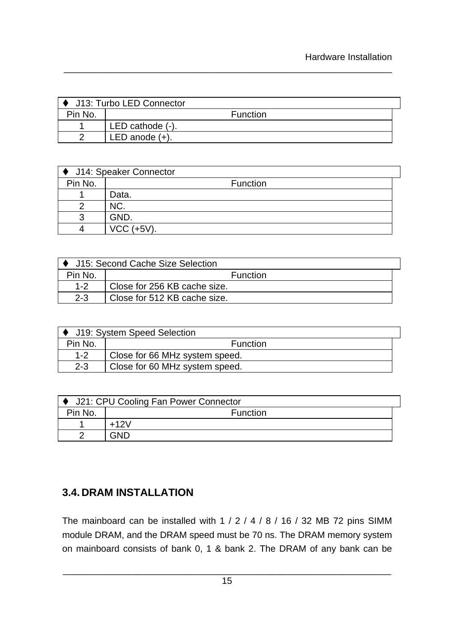|         | $\blacklozenge$ J13: Turbo LED Connector |  |  |
|---------|------------------------------------------|--|--|
| Pin No. | <b>Function</b>                          |  |  |
|         | LED cathode (-).                         |  |  |
|         | LED anode $(+)$ .                        |  |  |

\_\_\_\_\_\_\_\_\_\_\_\_\_\_\_\_\_\_\_\_\_\_\_\_\_\_\_\_\_\_\_\_\_\_\_\_\_\_\_\_\_\_\_\_\_\_\_\_\_\_\_\_\_\_\_\_\_\_\_\_\_\_\_\_

|         | ♦ J14: Speaker Connector |
|---------|--------------------------|
| Pin No. | Function                 |
|         | Data.                    |
|         | NC.                      |
|         | GND.                     |
|         | $VCC$ (+5V).             |

| ♦ J15: Second Cache Size Selection |                              |  |  |
|------------------------------------|------------------------------|--|--|
| Pin No.                            | <b>Function</b>              |  |  |
| $1 - 2$                            | Close for 256 KB cache size. |  |  |
| $2 - 3$                            | Close for 512 KB cache size. |  |  |

|         | J19: System Speed Selection    |
|---------|--------------------------------|
| Pin No. | <b>Function</b>                |
| $1 - 2$ | Close for 66 MHz system speed. |
| $2 - 3$ | Close for 60 MHz system speed. |

|         | ♦ J21: CPU Cooling Fan Power Connector |
|---------|----------------------------------------|
| Pin No. | <b>Function</b>                        |
|         | $+12V$                                 |
|         | GND                                    |

# **3.4. DRAM INSTALLATION**

The mainboard can be installed with 1 / 2 / 4 / 8 / 16 / 32 MB 72 pins SIMM module DRAM, and the DRAM speed must be 70 ns. The DRAM memory system on mainboard consists of bank 0, 1 & bank 2. The DRAM of any bank can be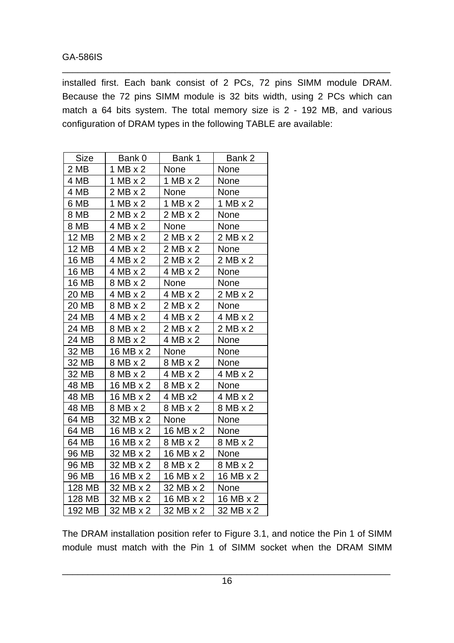#### GA-586IS

installed first. Each bank consist of 2 PCs, 72 pins SIMM module DRAM. Because the 72 pins SIMM module is 32 bits width, using 2 PCs which can match a 64 bits system. The total memory size is 2 - 192 MB, and various configuration of DRAM types in the following TABLE are available:

\_\_\_\_\_\_\_\_\_\_\_\_\_\_\_\_\_\_\_\_\_\_\_\_\_\_\_\_\_\_\_\_\_\_\_\_\_\_\_\_\_\_\_\_\_\_\_\_\_\_\_\_\_\_\_\_\_\_\_\_\_\_\_\_

| <b>Size</b>  | Bank 0          | Bank 1          | Bank 2          |
|--------------|-----------------|-----------------|-----------------|
| 2 MB         | $1 MB \times 2$ | None            | None            |
| 4 MB         | $1 MB \times 2$ | $1 MB \times 2$ | None            |
| 4 MB         | $2 MB \times 2$ | None            | None            |
| 6 MB         | $1 MB \times 2$ | $1 MB \times 2$ | $1 MB \times 2$ |
| 8 MB         | $2 MB \times 2$ | $2 MB \times 2$ | None            |
| 8 MB         | 4 MB x 2        | None            | None            |
| <b>12 MB</b> | $2 MB \times 2$ | $2 MB \times 2$ | $2 MB \times 2$ |
| <b>12 MB</b> | 4 MB x 2        | $2 MB \times 2$ | None            |
| <b>16 MB</b> | 4 MB x 2        | $2 MB \times 2$ | $2 MB \times 2$ |
| <b>16 MB</b> | 4 MB x 2        | 4 MB x 2        | None            |
| 16 MB        | 8 MB x 2        | None            | None            |
| 20 MB        | 4 MB x 2        | 4 MB x 2        | $2 MB \times 2$ |
| 20 MB        | 8 MB x 2        | $2 MB \times 2$ | None            |
| 24 MB        | 4 MB x 2        | $4 MB \times 2$ | 4 MB x 2        |
| 24 MB        | 8 MB x 2        | $2 MB \times 2$ | $2 MB \times 2$ |
| 24 MB        | 8 MB x 2        | 4 MB x 2        | None            |
| 32 MB        | 16 MB x 2       | None            | None            |
| 32 MB        | 8 MB x 2        | 8 MB x 2        | None            |
| 32 MB        | 8 MB x 2        | 4 MB x 2        | 4 MB x 2        |
| 48 MB        | 16 MB x 2       | 8 MB x 2        | None            |
| 48 MB        | 16 MB x 2       | 4 MB x2         | 4 MB x 2        |
| <b>48 MB</b> | 8 MB x 2        | 8 MB x 2        | 8 MB x 2        |
| 64 MB        | 32 MB x 2       | None            | None            |
| 64 MB        | 16 MB x 2       | 16 MB x 2       | None            |
| 64 MB        | 16 MB x 2       | 8 MB x 2        | 8 MB x 2        |
| 96 MB        | 32 MB x 2       | 16 MB x 2       | None            |
| 96 MB        | 32 MB x 2       | 8 MB x 2        | 8 MB x 2        |
| 96 MB        | 16 MB x 2       | 16 MB x 2       | 16 MB x 2       |
| 128 MB       | 32 MB x 2       | 32 MB x 2       | None            |
| 128 MB       | 32 MB x 2       | 16 MB x 2       | 16 MB x 2       |
| 192 MB       | 32 MB x 2       | 32 MB x 2       | 32 MB x 2       |

The DRAM installation position refer to Figure 3.1, and notice the Pin 1 of SIMM module must match with the Pin 1 of SIMM socket when the DRAM SIMM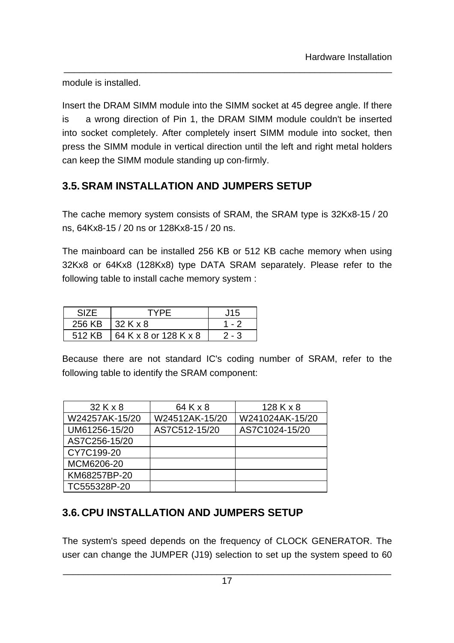module is installed.

Insert the DRAM SIMM module into the SIMM socket at 45 degree angle. If there is a wrong direction of Pin 1, the DRAM SIMM module couldn't be inserted into socket completely. After completely insert SIMM module into socket, then press the SIMM module in vertical direction until the left and right metal holders can keep the SIMM module standing up con-firmly.

\_\_\_\_\_\_\_\_\_\_\_\_\_\_\_\_\_\_\_\_\_\_\_\_\_\_\_\_\_\_\_\_\_\_\_\_\_\_\_\_\_\_\_\_\_\_\_\_\_\_\_\_\_\_\_\_\_\_\_\_\_\_\_\_

# **3.5.SRAM INSTALLATION AND JUMPERS SETUP**

The cache memory system consists of SRAM, the SRAM type is 32Kx8-15 / 20 ns, 64Kx8-15 / 20 ns or 128Kx8-15 / 20 ns.

The mainboard can be installed 256 KB or 512 KB cache memory when using 32Kx8 or 64Kx8 (128Kx8) type DATA SRAM separately. Please refer to the following table to install cache memory system :

| <b>SIZE</b> | <b>TYPF</b>           | J15     |
|-------------|-----------------------|---------|
| 256 KB      | $132$ K x 8           | 1 - 2   |
| 512 KB      | 64 K x 8 or 128 K x 8 | $2 - 3$ |

Because there are not standard IC's coding number of SRAM, refer to the following table to identify the SRAM component:

| 32Kx8          | 64 K x 8       | $128$ K x 8     |
|----------------|----------------|-----------------|
| W24257AK-15/20 | W24512AK-15/20 | W241024AK-15/20 |
| UM61256-15/20  | AS7C512-15/20  | AS7C1024-15/20  |
| AS7C256-15/20  |                |                 |
| CY7C199-20     |                |                 |
| MCM6206-20     |                |                 |
| KM68257BP-20   |                |                 |
| TC555328P-20   |                |                 |

# **3.6. CPU INSTALLATION AND JUMPERS SETUP**

The system's speed depends on the frequency of CLOCK GENERATOR. The user can change the JUMPER (J19) selection to set up the system speed to 60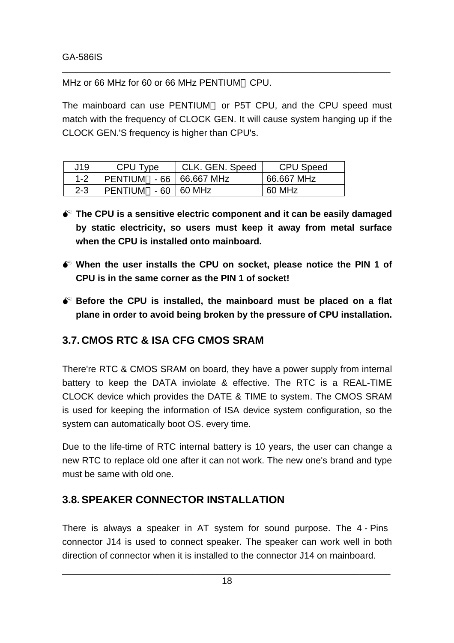MHz or 66 MHz for 60 or 66 MHz PENTIUM™ CPU.

The mainboard can use PENTIUM™ or P5T CPU, and the CPU speed must match with the frequency of CLOCK GEN. It will cause system hanging up if the CLOCK GEN.'S frequency is higher than CPU's.

\_\_\_\_\_\_\_\_\_\_\_\_\_\_\_\_\_\_\_\_\_\_\_\_\_\_\_\_\_\_\_\_\_\_\_\_\_\_\_\_\_\_\_\_\_\_\_\_\_\_\_\_\_\_\_\_\_\_\_\_\_\_\_\_

| J19     | CPU Type                          | CLK. GEN. Speed | CPU Speed  |
|---------|-----------------------------------|-----------------|------------|
| $1 - 2$ | <b>PENTIUM™ - 66   66.667 MHz</b> |                 | 66.667 MHz |
| $2 - 3$ | PENTIUM™ - 60   60 MHz            |                 | 60 MHz     |

- $\bullet^*$  The CPU is a sensitive electric component and it can be easily damaged **by static electricity, so users must keep it away from metal surface when the CPU is installed onto mainboard.**
- **M When the user installs the CPU on socket, please notice the PIN 1 of CPU is in the same corner as the PIN 1 of socket!**
- **M Before the CPU is installed, the mainboard must be placed on a flat plane in order to avoid being broken by the pressure of CPU installation.**

# **3.7. CMOS RTC & ISA CFG CMOS SRAM**

There're RTC & CMOS SRAM on board, they have a power supply from internal battery to keep the DATA inviolate & effective. The RTC is a REAL-TIME CLOCK device which provides the DATE & TIME to system. The CMOS SRAM is used for keeping the information of ISA device system configuration, so the system can automatically boot OS. every time.

Due to the life-time of RTC internal battery is 10 years, the user can change a new RTC to replace old one after it can not work. The new one's brand and type must be same with old one.

# **3.8.SPEAKER CONNECTOR INSTALLATION**

There is always a speaker in AT system for sound purpose. The 4 - Pins connector J14 is used to connect speaker. The speaker can work well in both direction of connector when it is installed to the connector J14 on mainboard.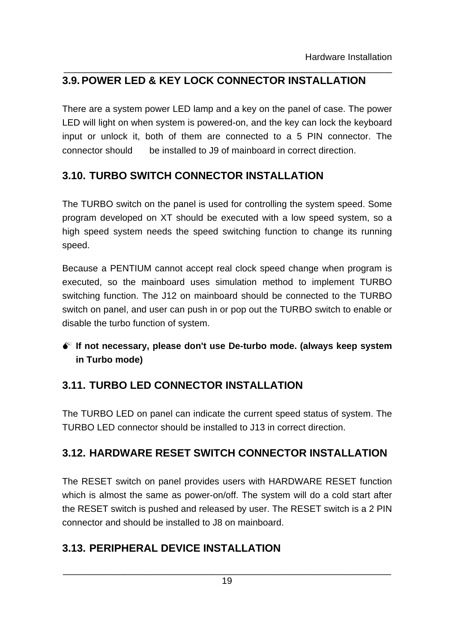# **3.9.POWER LED & KEY LOCK CONNECTOR INSTALLATION**

There are a system power LED lamp and a key on the panel of case. The power LED will light on when system is powered-on, and the key can lock the keyboard input or unlock it, both of them are connected to a 5 PIN connector. The connector should be installed to J9 of mainboard in correct direction.

\_\_\_\_\_\_\_\_\_\_\_\_\_\_\_\_\_\_\_\_\_\_\_\_\_\_\_\_\_\_\_\_\_\_\_\_\_\_\_\_\_\_\_\_\_\_\_\_\_\_\_\_\_\_\_\_\_\_\_\_\_\_\_\_

# **3.10. TURBO SWITCH CONNECTOR INSTALLATION**

The TURBO switch on the panel is used for controlling the system speed. Some program developed on XT should be executed with a low speed system, so a high speed system needs the speed switching function to change its running speed.

Because a PENTIUM cannot accept real clock speed change when program is executed, so the mainboard uses simulation method to implement TURBO switching function. The J12 on mainboard should be connected to the TURBO switch on panel, and user can push in or pop out the TURBO switch to enable or disable the turbo function of system.

# $\bullet^*$  If not necessary, please don't use De-turbo mode. (always keep system **in Turbo mode)**

# **3.11. TURBO LED CONNECTOR INSTALLATION**

The TURBO LED on panel can indicate the current speed status of system. The TURBO LED connector should be installed to J13 in correct direction.

# **3.12. HARDWARE RESET SWITCH CONNECTOR INSTALLATION**

The RESET switch on panel provides users with HARDWARE RESET function which is almost the same as power-on/off. The system will do a cold start after the RESET switch is pushed and released by user. The RESET switch is a 2 PIN connector and should be installed to J8 on mainboard.

# **3.13. PERIPHERAL DEVICE INSTALLATION**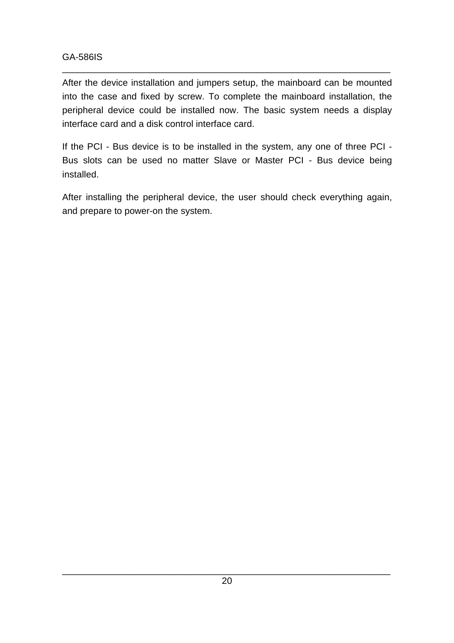#### GA-586IS

After the device installation and jumpers setup, the mainboard can be mounted into the case and fixed by screw. To complete the mainboard installation, the peripheral device could be installed now. The basic system needs a display interface card and a disk control interface card.

\_\_\_\_\_\_\_\_\_\_\_\_\_\_\_\_\_\_\_\_\_\_\_\_\_\_\_\_\_\_\_\_\_\_\_\_\_\_\_\_\_\_\_\_\_\_\_\_\_\_\_\_\_\_\_\_\_\_\_\_\_\_\_\_

If the PCI - Bus device is to be installed in the system, any one of three PCI - Bus slots can be used no matter Slave or Master PCI - Bus device being installed.

After installing the peripheral device, the user should check everything again, and prepare to power-on the system.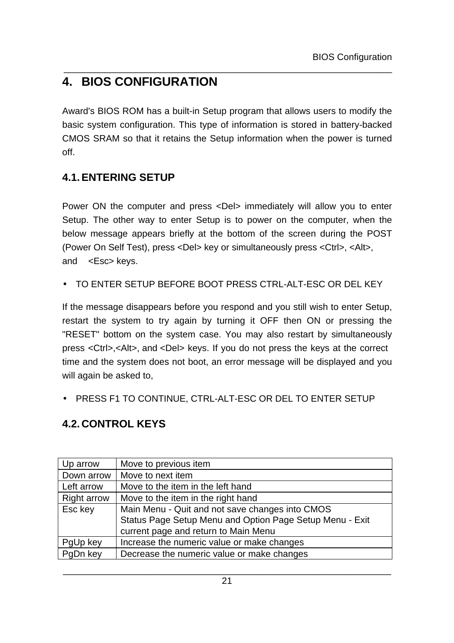# **4. BIOS CONFIGURATION**

Award's BIOS ROM has a built-in Setup program that allows users to modify the basic system configuration. This type of information is stored in battery-backed CMOS SRAM so that it retains the Setup information when the power is turned off.

\_\_\_\_\_\_\_\_\_\_\_\_\_\_\_\_\_\_\_\_\_\_\_\_\_\_\_\_\_\_\_\_\_\_\_\_\_\_\_\_\_\_\_\_\_\_\_\_\_\_\_\_\_\_\_\_\_\_\_\_\_\_\_\_

# **4.1.ENTERING SETUP**

Power ON the computer and press <Del> immediately will allow you to enter Setup. The other way to enter Setup is to power on the computer, when the below message appears briefly at the bottom of the screen during the POST (Power On Self Test), press <Del> key or simultaneously press <Ctrl>, <Alt>, and <Esc> keys.

• TO ENTER SETUP BEFORE BOOT PRESS CTRL-ALT-ESC OR DEL KEY

If the message disappears before you respond and you still wish to enter Setup, restart the system to try again by turning it OFF then ON or pressing the "RESET" bottom on the system case. You may also restart by simultaneously press <Ctrl>,<Alt>, and <Del> keys. If you do not press the keys at the correct time and the system does not boot, an error message will be displayed and you will again be asked to,

• PRESS F1 TO CONTINUE, CTRL-ALT-ESC OR DEL TO ENTER SETUP

# **4.2. CONTROL KEYS**

| Up arrow           | Move to previous item                                    |
|--------------------|----------------------------------------------------------|
| Down arrow         | Move to next item                                        |
| Left arrow         | Move to the item in the left hand                        |
| <b>Right arrow</b> | Move to the item in the right hand                       |
| Esc key            | Main Menu - Quit and not save changes into CMOS          |
|                    | Status Page Setup Menu and Option Page Setup Menu - Exit |
|                    | current page and return to Main Menu                     |
| PgUp key           | Increase the numeric value or make changes               |
| PgDn key           | Decrease the numeric value or make changes               |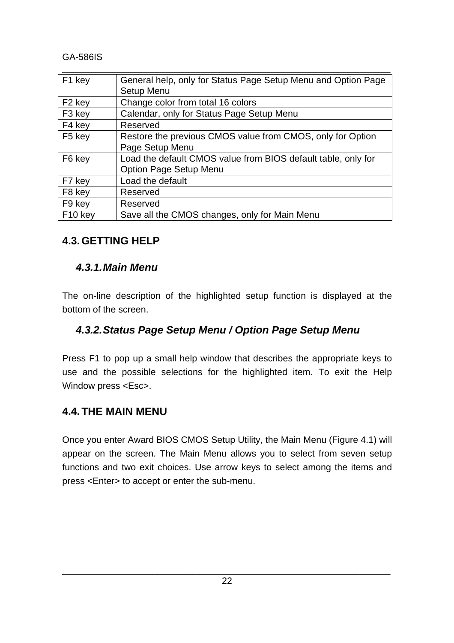GA-586IS

| F1 key              | General help, only for Status Page Setup Menu and Option Page |
|---------------------|---------------------------------------------------------------|
|                     | Setup Menu                                                    |
| F <sub>2</sub> key  | Change color from total 16 colors                             |
| F <sub>3</sub> key  | Calendar, only for Status Page Setup Menu                     |
| F4 key              | Reserved                                                      |
| F <sub>5</sub> key  | Restore the previous CMOS value from CMOS, only for Option    |
|                     | Page Setup Menu                                               |
| F6 key              | Load the default CMOS value from BIOS default table, only for |
|                     | Option Page Setup Menu                                        |
| F7 key              | Load the default                                              |
| F <sub>8</sub> key  | Reserved                                                      |
| F9 key              | Reserved                                                      |
| F <sub>10</sub> key | Save all the CMOS changes, only for Main Menu                 |

# **4.3.GETTING HELP**

### *4.3.1.Main Menu*

The on-line description of the highlighted setup function is displayed at the bottom of the screen.

# *4.3.2.Status Page Setup Menu / Option Page Setup Menu*

Press F1 to pop up a small help window that describes the appropriate keys to use and the possible selections for the highlighted item. To exit the Help Window press <Esc>.

### **4.4.THE MAIN MENU**

Once you enter Award BIOS CMOS Setup Utility, the Main Menu (Figure 4.1) will appear on the screen. The Main Menu allows you to select from seven setup functions and two exit choices. Use arrow keys to select among the items and press <Enter> to accept or enter the sub-menu.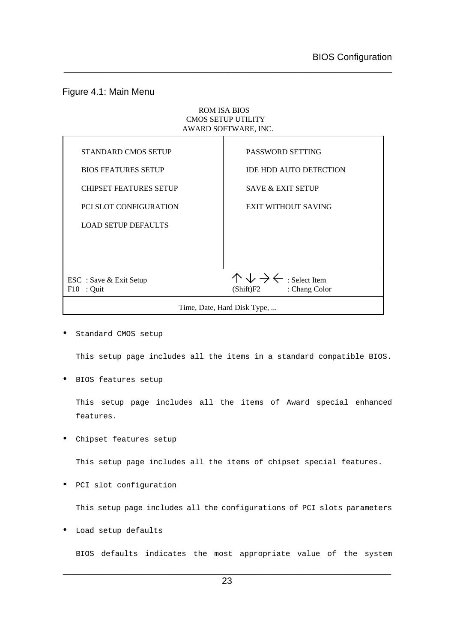#### Figure 4.1: Main Menu

#### ROM ISA BIOS CMOS SETUP UTILITY AWARD SOFTWARE, INC.

\_\_\_\_\_\_\_\_\_\_\_\_\_\_\_\_\_\_\_\_\_\_\_\_\_\_\_\_\_\_\_\_\_\_\_\_\_\_\_\_\_\_\_\_\_\_\_\_\_\_\_\_\_\_\_\_\_\_\_\_\_\_\_\_

| <b>STANDARD CMOS SETUP</b>    | PASSWORD SETTING                                   |  |  |
|-------------------------------|----------------------------------------------------|--|--|
| <b>BIOS FEATURES SETUP</b>    | <b>IDE HDD AUTO DETECTION</b>                      |  |  |
| <b>CHIPSET FEATURES SETUP</b> | <b>SAVE &amp; EXIT SETUP</b>                       |  |  |
| <b>PCI SLOT CONFIGURATION</b> | <b>EXIT WITHOUT SAVING</b>                         |  |  |
| <b>LOAD SETUP DEFAULTS</b>    |                                                    |  |  |
|                               |                                                    |  |  |
|                               |                                                    |  |  |
| ESC : Save & Exit Setup       | $\wedge \vee \rightarrow \leftarrow$ : Select Item |  |  |
| $F10$ : Quit                  | (Shift)F2<br>: Chang Color                         |  |  |
| Time, Date, Hard Disk Type,   |                                                    |  |  |

• Standard CMOS setup

This setup page includes all the items in a standard compatible BIOS.

• BIOS features setup

This setup page includes all the items of Award special enhanced features.

• Chipset features setup

This setup page includes all the items of chipset special features.

• PCI slot configuration

This setup page includes all the configurations of PCI slots parameters

• Load setup defaults

BIOS defaults indicates the most appropriate value of the system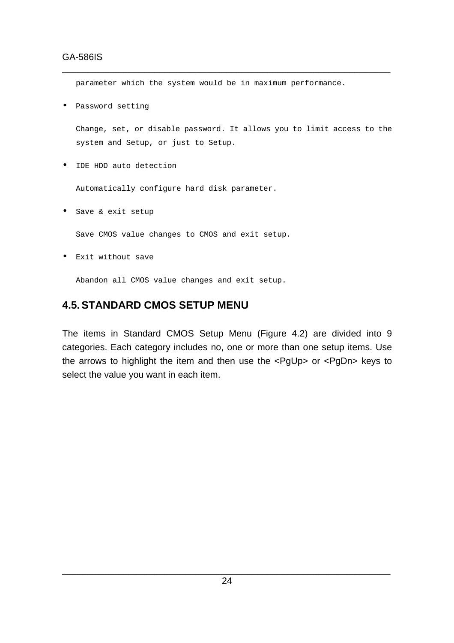#### GA-586IS

parameter which the system would be in maximum performance.

\_\_\_\_\_\_\_\_\_\_\_\_\_\_\_\_\_\_\_\_\_\_\_\_\_\_\_\_\_\_\_\_\_\_\_\_\_\_\_\_\_\_\_\_\_\_\_\_\_\_\_\_\_\_\_\_\_\_\_\_\_\_\_\_

Password setting

Change, set, or disable password. It allows you to limit access to the system and Setup, or just to Setup.

• IDE HDD auto detection

Automatically configure hard disk parameter.

Save & exit setup

Save CMOS value changes to CMOS and exit setup.

• Exit without save

Abandon all CMOS value changes and exit setup.

### **4.5.STANDARD CMOS SETUP MENU**

The items in Standard CMOS Setup Menu (Figure 4.2) are divided into 9 categories. Each category includes no, one or more than one setup items. Use the arrows to highlight the item and then use the <PgUp> or <PgDn> keys to select the value you want in each item.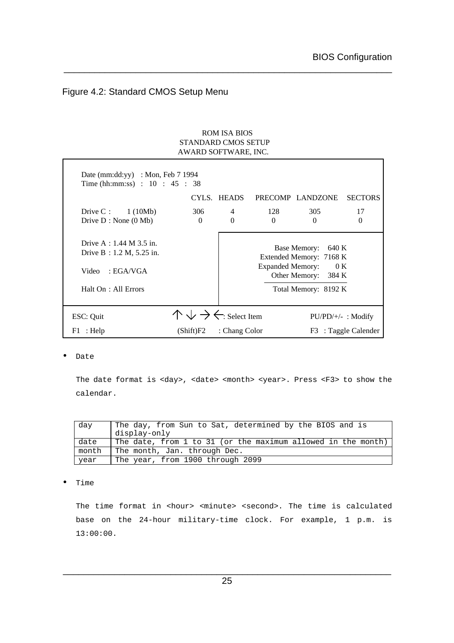٦

#### Figure 4.2: Standard CMOS Setup Menu

#### ROM ISA BIOS STANDARD CMOS SETUP AWARD SOFTWARE, INC.

\_\_\_\_\_\_\_\_\_\_\_\_\_\_\_\_\_\_\_\_\_\_\_\_\_\_\_\_\_\_\_\_\_\_\_\_\_\_\_\_\_\_\_\_\_\_\_\_\_\_\_\_\_\_\_\_\_\_\_\_\_\_\_\_

| Date (mm:dd:yy) : Mon, Feb 7 1994<br>Time (hh:mm:ss) : $10$ : $45$ : 38                                                                                                                 |                                                    |                            |                 |                      |                      |  |
|-----------------------------------------------------------------------------------------------------------------------------------------------------------------------------------------|----------------------------------------------------|----------------------------|-----------------|----------------------|----------------------|--|
|                                                                                                                                                                                         |                                                    | CYLS. HEADS                |                 | PRECOMP LANDZONE     | <b>SECTORS</b>       |  |
| Drive C: $1(10Mb)$<br>Drive $D : None (0 Mb)$                                                                                                                                           | 306<br>$\Omega$                                    | $\overline{4}$<br>$\Omega$ | 128<br>$\Omega$ | 305<br>$\Omega$      | 17<br>$\Omega$       |  |
| Drive A : $1.44$ M $3.5$ in.<br>Base Memory:<br>640 K<br>Drive B : $1.2 M$ , $5.25 in$ .<br>Extended Memory: 7168 K<br>Expanded Memory: 0 K<br>Video : EGAVGA<br>Other Memory:<br>384 K |                                                    |                            |                 |                      |                      |  |
| Halt On: All Errors                                                                                                                                                                     |                                                    |                            |                 | Total Memory: 8192 K |                      |  |
| ESC: Quit                                                                                                                                                                               | $\wedge \vee \rightarrow \leftarrow$ : Select Item |                            |                 |                      | $PU/PD/+/-$ : Modify |  |
| F1 : Help                                                                                                                                                                               | (Shift)F2                                          | : Chang Color              |                 |                      | F3 : Taggle Calender |  |

• Date

The date format is <day>, <date> <month> <year>. Press <F3> to show the calendar.

| day   | The day, from Sun to Sat, determined by the BIOS and is      |
|-------|--------------------------------------------------------------|
|       | display-only                                                 |
| date  | The date, from 1 to 31 (or the maximum allowed in the month) |
| month | The month, Jan. through Dec.                                 |
| year  | The year, from 1900 through 2099                             |

• Time

The time format in <hour> <minute> <second>. The time is calculated base on the 24-hour military-time clock. For example, 1 p.m. is 13:00:00.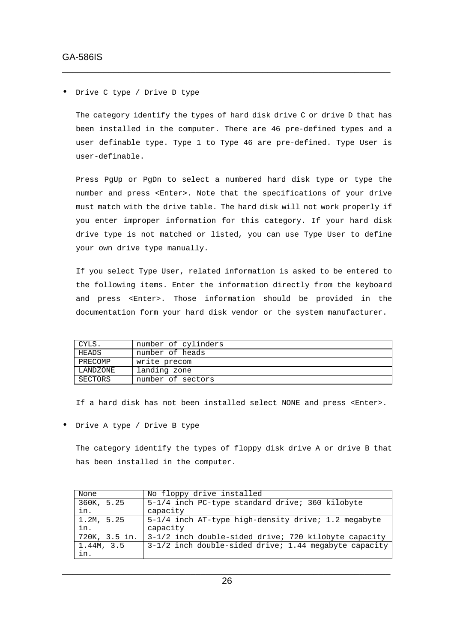• Drive C type / Drive D type

The category identify the types of hard disk drive C or drive D that has been installed in the computer. There are 46 pre-defined types and a user definable type. Type 1 to Type 46 are pre-defined. Type User is user-definable.

\_\_\_\_\_\_\_\_\_\_\_\_\_\_\_\_\_\_\_\_\_\_\_\_\_\_\_\_\_\_\_\_\_\_\_\_\_\_\_\_\_\_\_\_\_\_\_\_\_\_\_\_\_\_\_\_\_\_\_\_\_\_\_\_

Press PgUp or PgDn to select a numbered hard disk type or type the number and press <Enter>. Note that the specifications of your drive must match with the drive table. The hard disk will not work properly if you enter improper information for this category. If your hard disk drive type is not matched or listed, you can use Type User to define your own drive type manually.

If you select Type User, related information is asked to be entered to the following items. Enter the information directly from the keyboard and press <Enter>. Those information should be provided in the documentation form your hard disk vendor or the system manufacturer.

| CYLS.    | number of cylinders |
|----------|---------------------|
| HEADS    | number of heads     |
| PRECOMP  | write precom        |
| LANDZONE | landing zone        |
| SECTORS  | number of sectors   |

If a hard disk has not been installed select NONE and press <Enter>.

• Drive A type / Drive B type

The category identify the types of floppy disk drive A or drive B that has been installed in the computer.

| None          | No floppy drive installed                               |  |  |  |
|---------------|---------------------------------------------------------|--|--|--|
| 360K, 5.25    | 5-1/4 inch PC-type standard drive; 360 kilobyte         |  |  |  |
| in.           | capacity                                                |  |  |  |
| 1.2M, 5.25    | 5-1/4 inch AT-type high-density drive; 1.2 megabyte     |  |  |  |
| in.           | capacity                                                |  |  |  |
| 720K, 3.5 in. | 3-1/2 inch double-sided drive; 720 kilobyte capacity    |  |  |  |
| 1.44M, 3.5    | $3-1/2$ inch double-sided drive; 1.44 megabyte capacity |  |  |  |
| in.           |                                                         |  |  |  |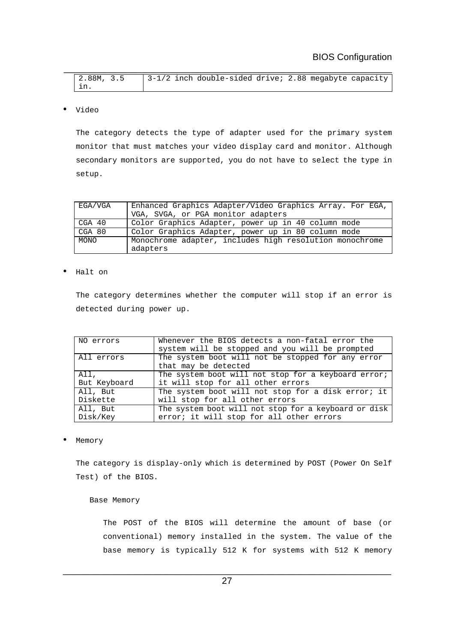| 2.88M, 3.5 |  | $\vert$ 3-1/2 inch double-sided drive; 2.88 megabyte capacity |  |  |
|------------|--|---------------------------------------------------------------|--|--|
|            |  |                                                               |  |  |

#### • Video

The category detects the type of adapter used for the primary system monitor that must matches your video display card and monitor. Although secondary monitors are supported, you do not have to select the type in setup.

| EGA/VGA | Enhanced Graphics Adapter/Video Graphics Array. For EGA, |  |  |
|---------|----------------------------------------------------------|--|--|
|         | VGA, SVGA, or PGA monitor adapters                       |  |  |
| CGA 40  | Color Graphics Adapter, power up in 40 column mode       |  |  |
| CGA 80  | Color Graphics Adapter, power up in 80 column mode       |  |  |
| MONO    | Monochrome adapter, includes high resolution monochrome  |  |  |
|         | adapters                                                 |  |  |

• Halt on

The category determines whether the computer will stop if an error is detected during power up.

| NO errors    | Whenever the BIOS detects a non-fatal error the      |
|--------------|------------------------------------------------------|
|              | system will be stopped and you will be prompted      |
| All errors   | The system boot will not be stopped for any error    |
|              | that may be detected                                 |
| All,         | The system boot will not stop for a keyboard error;  |
| But Keyboard | it will stop for all other errors                    |
| All, But     | The system boot will not stop for a disk error; it   |
| Diskette     | will stop for all other errors                       |
| All, But     | The system boot will not stop for a keyboard or disk |
| Disk/Key     | error; it will stop for all other errors             |

#### • Memory

The category is display-only which is determined by POST (Power On Self Test) of the BIOS.

#### Base Memory

The POST of the BIOS will determine the amount of base (or conventional) memory installed in the system. The value of the base memory is typically 512 K for systems with 512 K memory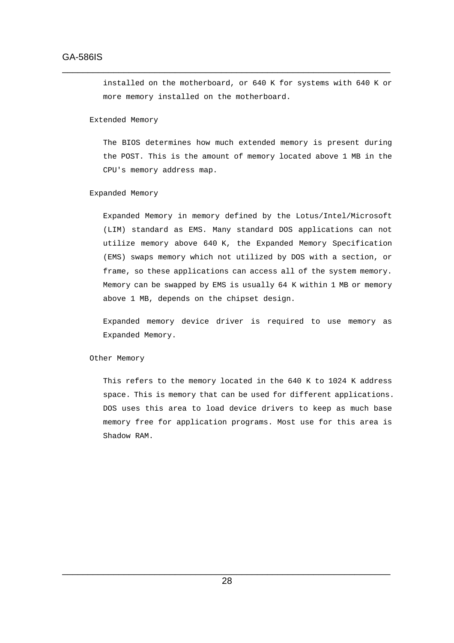installed on the motherboard, or 640 K for systems with 640 K or more memory installed on the motherboard.

\_\_\_\_\_\_\_\_\_\_\_\_\_\_\_\_\_\_\_\_\_\_\_\_\_\_\_\_\_\_\_\_\_\_\_\_\_\_\_\_\_\_\_\_\_\_\_\_\_\_\_\_\_\_\_\_\_\_\_\_\_\_\_\_

Extended Memory

The BIOS determines how much extended memory is present during the POST. This is the amount of memory located above 1 MB in the CPU's memory address map.

#### Expanded Memory

Expanded Memory in memory defined by the Lotus/Intel/Microsoft (LIM) standard as EMS. Many standard DOS applications can not utilize memory above 640 K, the Expanded Memory Specification (EMS) swaps memory which not utilized by DOS with a section, or frame, so these applications can access all of the system memory. Memory can be swapped by EMS is usually 64 K within 1 MB or memory above 1 MB, depends on the chipset design.

Expanded memory device driver is required to use memory as Expanded Memory.

#### Other Memory

This refers to the memory located in the 640 K to 1024 K address space. This is memory that can be used for different applications. DOS uses this area to load device drivers to keep as much base memory free for application programs. Most use for this area is Shadow RAM.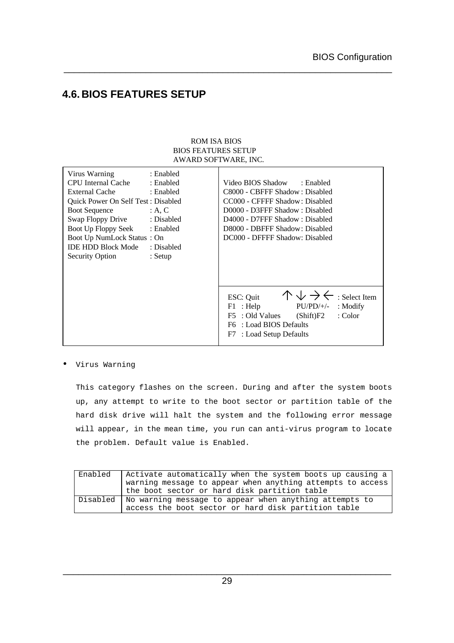### **4.6. BIOS FEATURES SETUP**

#### ROM ISA BIOS BIOS FEATURES SETUP AWARD SOFTWARE, INC.

\_\_\_\_\_\_\_\_\_\_\_\_\_\_\_\_\_\_\_\_\_\_\_\_\_\_\_\_\_\_\_\_\_\_\_\_\_\_\_\_\_\_\_\_\_\_\_\_\_\_\_\_\_\_\_\_\_\_\_\_\_\_\_\_

| Virus Warning<br><b>CPU</b> Internal Cache<br>External Cache<br>Quick Power On Self Test: Disabled<br><b>Boot Sequence</b><br>Swap Floppy Drive : Disabled<br>Boot Up Floppy Seek : Enabled<br>Boot Up NumLock Status: On<br><b>IDE HDD Block Mode</b><br>Security Option | : Enabled<br>: Enabled<br>: Enabled<br>: A, C<br>: Disabled<br>: $Setup$ | Video BIOS Shadow<br>: Enabled<br>C8000 - CBFFF Shadow: Disabled<br>CC000 - CFFFF Shadow: Disabled<br>D0000 - D3FFF Shadow: Disabled<br>D4000 - D7FFF Shadow: Disabled<br>D8000 - DBFFF Shadow: Disabled<br>DC000 - DFFFF Shadow: Disabled |
|---------------------------------------------------------------------------------------------------------------------------------------------------------------------------------------------------------------------------------------------------------------------------|--------------------------------------------------------------------------|--------------------------------------------------------------------------------------------------------------------------------------------------------------------------------------------------------------------------------------------|
|                                                                                                                                                                                                                                                                           |                                                                          | $\wedge \vee \rightarrow \leftarrow$ : Select Item<br>ESC: Quit<br>$PU/PD/+/-$<br>$F1$ : Help<br>$:$ Modify<br>F5 : Old Values<br>(Shift)F2<br>: Color<br>F6 : Load BIOS Defaults<br>: Load Setup Defaults<br>F7                           |

#### • Virus Warning

This category flashes on the screen. During and after the system boots up, any attempt to write to the boot sector or partition table of the hard disk drive will halt the system and the following error message will appear, in the mean time, you run can anti-virus program to locate the problem. Default value is Enabled.

| Enabled | Activate automatically when the system boots up causing a         |
|---------|-------------------------------------------------------------------|
|         | warning message to appear when anything attempts to access        |
|         | the boot sector or hard disk partition table                      |
|         | Disabled   No warning message to appear when anything attempts to |
|         | access the boot sector or hard disk partition table               |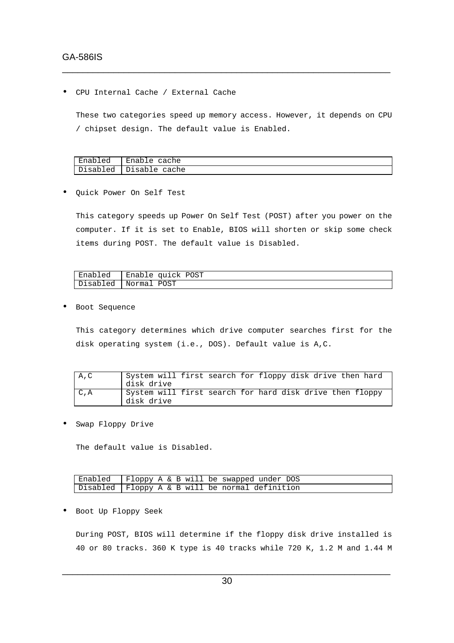• CPU Internal Cache / External Cache

These two categories speed up memory access. However, it depends on CPU / chipset design. The default value is Enabled.

\_\_\_\_\_\_\_\_\_\_\_\_\_\_\_\_\_\_\_\_\_\_\_\_\_\_\_\_\_\_\_\_\_\_\_\_\_\_\_\_\_\_\_\_\_\_\_\_\_\_\_\_\_\_\_\_\_\_\_\_\_\_\_\_

| Enabled  | Enable<br>cache  |
|----------|------------------|
| Disabled | Disable<br>cache |

• Quick Power On Self Test

This category speeds up Power On Self Test (POST) after you power on the computer. If it is set to Enable, BIOS will shorten or skip some check items during POST. The default value is Disabled.

| Enabled   Enable quick POST |
|-----------------------------|
| Disabled   Normal POST      |

Boot Sequence

This category determines which drive computer searches first for the disk operating system (i.e., DOS). Default value is A,C.

| A, C | System will first search for floppy disk drive then hard<br>disk drive |  |
|------|------------------------------------------------------------------------|--|
| C, A | System will first search for hard disk drive then floppy<br>disk drive |  |

• Swap Floppy Drive

The default value is Disabled.

| Enabled   Floppy A & B will be swapped under DOS  |  |
|---------------------------------------------------|--|
| Disabled   Floppy A & B will be normal definition |  |

• Boot Up Floppy Seek

During POST, BIOS will determine if the floppy disk drive installed is 40 or 80 tracks. 360 K type is 40 tracks while 720 K, 1.2 M and 1.44 M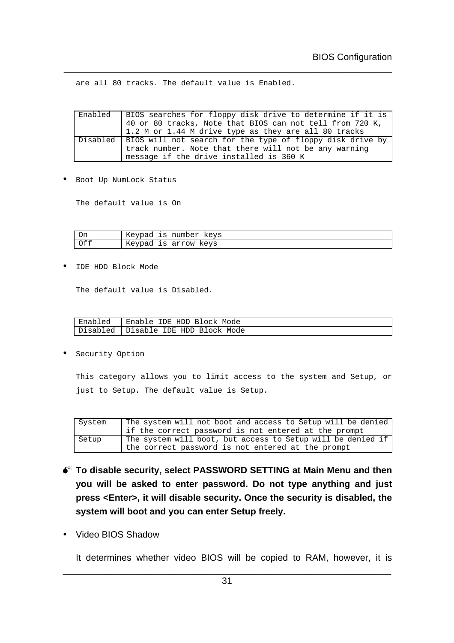are all 80 tracks. The default value is Enabled.

| Enabled   BIOS searches for floppy disk drive to determine if it is  |  |  |  |
|----------------------------------------------------------------------|--|--|--|
| 40 or 80 tracks, Note that BIOS can not tell from 720 K,             |  |  |  |
| 1.2 M or 1.44 M drive type as they are all 80 tracks                 |  |  |  |
| Disabled   BIOS will not search for the type of floppy disk drive by |  |  |  |
| track number. Note that there will not be any warning                |  |  |  |
| message if the drive installed is 360 K                              |  |  |  |

\_\_\_\_\_\_\_\_\_\_\_\_\_\_\_\_\_\_\_\_\_\_\_\_\_\_\_\_\_\_\_\_\_\_\_\_\_\_\_\_\_\_\_\_\_\_\_\_\_\_\_\_\_\_\_\_\_\_\_\_\_\_\_\_

• Boot Up NumLock Status

The default value is On

| On  | Keypad is number keys |
|-----|-----------------------|
| Off | Keypad is arrow keys  |

• IDE HDD Block Mode

The default value is Disabled.

| Enabled   Enable IDE HDD Block Mode   |
|---------------------------------------|
| Disabled   Disable IDE HDD Block Mode |

• Security Option

This category allows you to limit access to the system and Setup, or just to Setup. The default value is Setup.

| System | The system will not boot and access to Setup will be denied |
|--------|-------------------------------------------------------------|
|        | if the correct password is not entered at the prompt        |
| Setup  | The system will boot, but access to Setup will be denied if |
|        | the correct password is not entered at the prompt           |

- $\bullet^*$  To disable security, select PASSWORD SETTING at Main Menu and then **you will be asked to enter password. Do not type anything and just press <Enter>, it will disable security. Once the security is disabled, the system will boot and you can enter Setup freely.**
- Video BIOS Shadow

It determines whether video BIOS will be copied to RAM, however, it is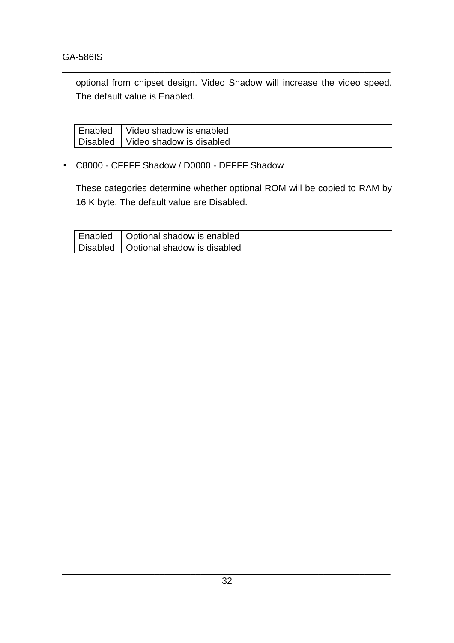GA-586IS

optional from chipset design. Video Shadow will increase the video speed. The default value is Enabled.

\_\_\_\_\_\_\_\_\_\_\_\_\_\_\_\_\_\_\_\_\_\_\_\_\_\_\_\_\_\_\_\_\_\_\_\_\_\_\_\_\_\_\_\_\_\_\_\_\_\_\_\_\_\_\_\_\_\_\_\_\_\_\_\_

| Enabled   Video shadow is enabled   |
|-------------------------------------|
| Disabled   Video shadow is disabled |

• C8000 - CFFFF Shadow / D0000 - DFFFF Shadow

These categories determine whether optional ROM will be copied to RAM by 16 K byte. The default value are Disabled.

| Enabled   Optional shadow is enabled   |
|----------------------------------------|
| Disabled   Optional shadow is disabled |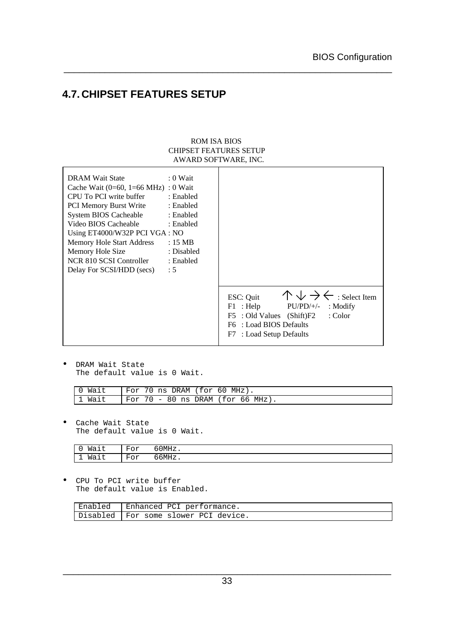# **4.7. CHIPSET FEATURES SETUP**

**r** 

#### ROM ISA BIOS CHIPSET FEATURES SETUP AWARD SOFTWARE, INC.

\_\_\_\_\_\_\_\_\_\_\_\_\_\_\_\_\_\_\_\_\_\_\_\_\_\_\_\_\_\_\_\_\_\_\_\_\_\_\_\_\_\_\_\_\_\_\_\_\_\_\_\_\_\_\_\_\_\_\_\_\_\_\_\_

| DRAM Wait State                                        | $: 0$ Wait     |                                                                                                                 |               |                                                                           |
|--------------------------------------------------------|----------------|-----------------------------------------------------------------------------------------------------------------|---------------|---------------------------------------------------------------------------|
| Cache Wait $(0=60, 1=66 \text{ MHz}) : 0 \text{ Wait}$ |                |                                                                                                                 |               |                                                                           |
| CPU To PCI write buffer : Enabled                      |                |                                                                                                                 |               |                                                                           |
| PCI Memory Burst Write : Enabled                       |                |                                                                                                                 |               |                                                                           |
| System BIOS Cacheable                                  | : Enabled      |                                                                                                                 |               |                                                                           |
| Video BIOS Cacheable : Enabled                         |                |                                                                                                                 |               |                                                                           |
| Using ET4000/W32P PCI VGA: NO                          |                |                                                                                                                 |               |                                                                           |
| Memory Hole Start Address                              | :15MB          |                                                                                                                 |               |                                                                           |
| Memory Hole Size                                       | : Disabled     |                                                                                                                 |               |                                                                           |
| NCR 810 SCSI Controller                                | : Enabled      |                                                                                                                 |               |                                                                           |
| Delay For SCSI/HDD (secs)                              | $\therefore$ 5 |                                                                                                                 |               |                                                                           |
|                                                        |                |                                                                                                                 |               |                                                                           |
|                                                        |                | ESC: Quit<br>$F1$ : Help<br>F5 : Old Values (Shift)F2<br>F6 : Load BIOS Defaults<br>: Load Setup Defaults<br>F7 | $PU/PD/+\!/-$ | $\wedge \vee \rightarrow \leftarrow$ : Select Item<br>: Modify<br>: Color |

• DRAM Wait State The default value is 0 Wait.

| $0$ Wait   For 70 ns DRAM (for 60 MHz).    |
|--------------------------------------------|
| 1 Wait   For 70 - 80 ns DRAM (for 66 MHz). |

• Cache Wait State The default value is 0 Wait.

| $\sqrt{2}$<br>$- -$<br><b>WA</b><br>U<br>$\cdots$ | $\overline{\phantom{0}}$<br>₹or<br>-      | $^{\circ}$ $^{\circ}$ MHz. |
|---------------------------------------------------|-------------------------------------------|----------------------------|
| -<br>$- -$<br>Ma<br><b>__</b><br>◡                | $\overline{\phantom{0}}$<br>₹or<br>-<br>- | 6MHz.<br>ı-                |

• CPU To PCI write buffer The default value is Enabled.

| Enabled | l   Enhanced PCI performance.          |
|---------|----------------------------------------|
|         | Disabled I For some slower PCI device. |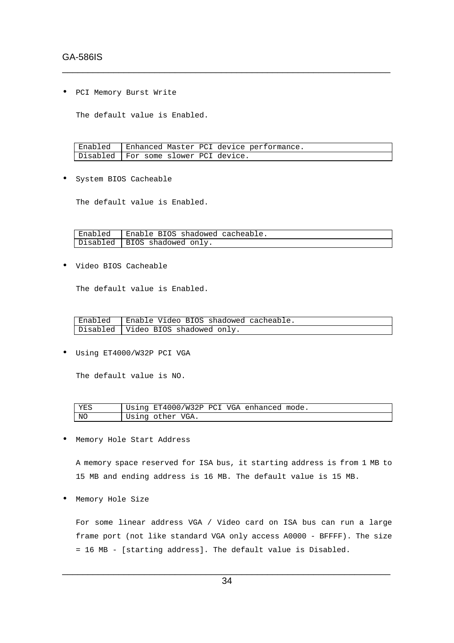#### GA-586IS

• PCI Memory Burst Write

The default value is Enabled.

| Enabled   Enhanced Master PCI device performance. |
|---------------------------------------------------|
| Disabled   For some slower PCI device.            |

\_\_\_\_\_\_\_\_\_\_\_\_\_\_\_\_\_\_\_\_\_\_\_\_\_\_\_\_\_\_\_\_\_\_\_\_\_\_\_\_\_\_\_\_\_\_\_\_\_\_\_\_\_\_\_\_\_\_\_\_\_\_\_\_

• System BIOS Cacheable

The default value is Enabled.

| Enabled   Enable BIOS shadowed cacheable. |
|-------------------------------------------|
| Disabled   BIOS shadowed only.            |

• Video BIOS Cacheable

The default value is Enabled.

| Enabled   Enable Video BIOS shadowed cacheable. |
|-------------------------------------------------|
| Disabled   Video BIOS shadowed only.            |

• Using ET4000/W32P PCI VGA

The default value is NO.

| YES | Using ET4000/W32P PCI VGA enhanced mode. |
|-----|------------------------------------------|
| NC  | Using other VGA.                         |

• Memory Hole Start Address

A memory space reserved for ISA bus, it starting address is from 1 MB to 15 MB and ending address is 16 MB. The default value is 15 MB.

• Memory Hole Size

For some linear address VGA / Video card on ISA bus can run a large frame port (not like standard VGA only access A0000 - BFFFF). The size = 16 MB - [starting address]. The default value is Disabled.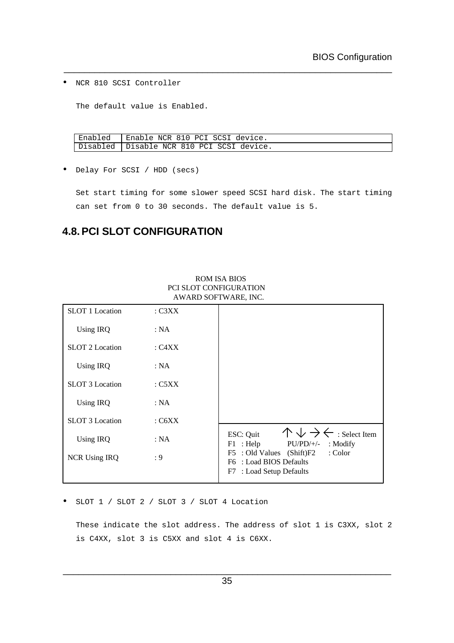• NCR 810 SCSI Controller

The default value is Enabled.

| Enabled   Enable NCR 810 PCI SCSI device.   |
|---------------------------------------------|
| Disabled   Disable NCR 810 PCI SCSI device. |

\_\_\_\_\_\_\_\_\_\_\_\_\_\_\_\_\_\_\_\_\_\_\_\_\_\_\_\_\_\_\_\_\_\_\_\_\_\_\_\_\_\_\_\_\_\_\_\_\_\_\_\_\_\_\_\_\_\_\_\_\_\_\_\_

• Delay For SCSI / HDD (secs)

Set start timing for some slower speed SCSI hard disk. The start timing can set from 0 to 30 seconds. The default value is 5.

### **4.8.PCI SLOT CONFIGURATION**

| <b>SLOT 1 Location</b> | : $C3XX$ |                                                                                                           |
|------------------------|----------|-----------------------------------------------------------------------------------------------------------|
| Using IRQ              | : NA     |                                                                                                           |
| <b>SLOT 2 Location</b> | C4XX     |                                                                                                           |
| <b>Using IRQ</b>       | : NA     |                                                                                                           |
| <b>SLOT 3 Location</b> | : C5XX   |                                                                                                           |
| Using IRQ              | : NA     |                                                                                                           |
| <b>SLOT 3 Location</b> | C6XX     |                                                                                                           |
| Using IRQ              | : NA     | $\wedge \vee \rightarrow \leftarrow$ : Select Item<br>ESC: Quit<br>: Modify<br>$F1$ : Help<br>$PU/PD/+/-$ |
| <b>NCR Using IRQ</b>   | : 9      | F5 : Old Values (Shift)F2<br>: Color<br>F6 : Load BIOS Defaults<br>: Load Setup Defaults<br>F7            |

#### ROM ISA BIOS PCI SLOT CONFIGURATION AWARD SOFTWARE, INC.

• SLOT 1 / SLOT 2 / SLOT 3 / SLOT 4 Location

These indicate the slot address. The address of slot 1 is C3XX, slot 2 is C4XX, slot 3 is C5XX and slot 4 is C6XX.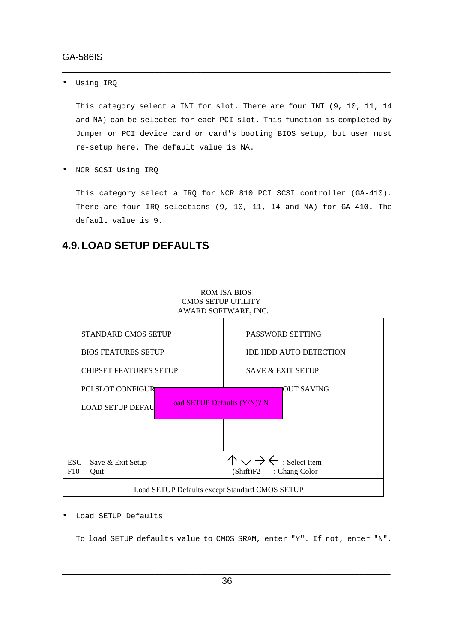#### GA-586IS

• Using IRQ

This category select a INT for slot. There are four INT (9, 10, 11, 14 and NA) can be selected for each PCI slot. This function is completed by Jumper on PCI device card or card's booting BIOS setup, but user must re-setup here. The default value is NA.

\_\_\_\_\_\_\_\_\_\_\_\_\_\_\_\_\_\_\_\_\_\_\_\_\_\_\_\_\_\_\_\_\_\_\_\_\_\_\_\_\_\_\_\_\_\_\_\_\_\_\_\_\_\_\_\_\_\_\_\_\_\_\_\_

• NCR SCSI Using IRQ

This category select a IRQ for NCR 810 PCI SCSI controller (GA-410). There are four IRQ selections (9, 10, 11, 14 and NA) for GA-410. The default value is 9.

#### **4.9.LOAD SETUP DEFAULTS**



ROM ISA BIOS

#### • Load SETUP Defaults

To load SETUP defaults value to CMOS SRAM, enter "Y". If not, enter "N".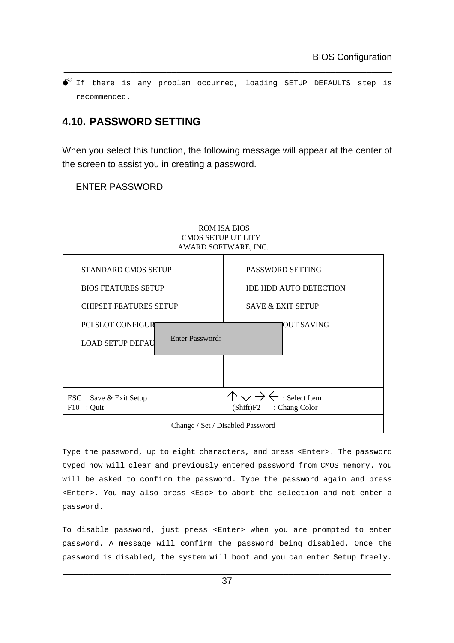$\bullet$  If there is any problem occurred, loading SETUP DEFAULTS step is recommended.

\_\_\_\_\_\_\_\_\_\_\_\_\_\_\_\_\_\_\_\_\_\_\_\_\_\_\_\_\_\_\_\_\_\_\_\_\_\_\_\_\_\_\_\_\_\_\_\_\_\_\_\_\_\_\_\_\_\_\_\_\_\_\_\_

### **4.10. PASSWORD SETTING**

When you select this function, the following message will appear at the center of the screen to assist you in creating a password.

#### ENTER PASSWORD

| UMUQ ƏBTUF UTILITT<br>AWARD SOFTWARE, INC. |                                                                               |  |  |
|--------------------------------------------|-------------------------------------------------------------------------------|--|--|
| <b>STANDARD CMOS SETUP</b>                 | PASSWORD SETTING                                                              |  |  |
| <b>BIOS FEATURES SETUP</b>                 | <b>IDE HDD AUTO DETECTION</b>                                                 |  |  |
| <b>CHIPSET FEATURES SETUP</b>              | <b>SAVE &amp; EXIT SETUP</b>                                                  |  |  |
| <b>PCI SLOT CONFIGURE</b>                  | OUT SAVING                                                                    |  |  |
| Enter Password:<br><b>LOAD SETUP DEFAU</b> |                                                                               |  |  |
|                                            |                                                                               |  |  |
|                                            |                                                                               |  |  |
| ESC : Save & Exit Setup<br>$F10$ : Quit    | $\wedge \vee \rightarrow \leftarrow$ : Select Item<br>(Shift)F2 : Chang Color |  |  |
| Change / Set / Disabled Password           |                                                                               |  |  |

# ROM ISA BIOS CMOS SETUP UTILITY

Type the password, up to eight characters, and press <Enter>. The password typed now will clear and previously entered password from CMOS memory. You will be asked to confirm the password. Type the password again and press <Enter>. You may also press <Esc> to abort the selection and not enter a password.

To disable password, just press <Enter> when you are prompted to enter password. A message will confirm the password being disabled. Once the password is disabled, the system will boot and you can enter Setup freely.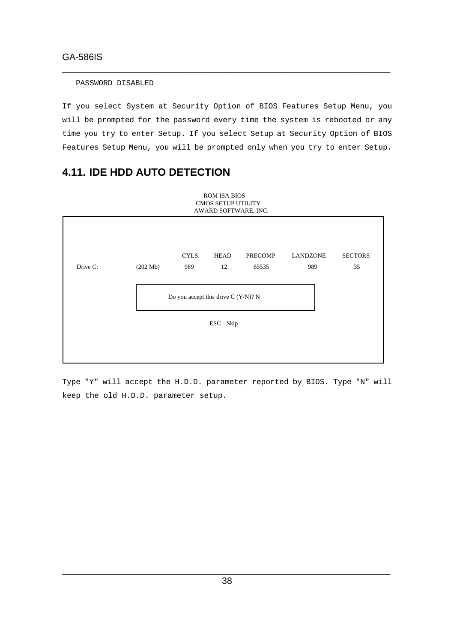#### GA-586IS

#### PASSWORD DISABLED

If you select System at Security Option of BIOS Features Setup Menu, you will be prompted for the password every time the system is rebooted or any time you try to enter Setup. If you select Setup at Security Option of BIOS Features Setup Menu, you will be prompted only when you try to enter Setup.

\_\_\_\_\_\_\_\_\_\_\_\_\_\_\_\_\_\_\_\_\_\_\_\_\_\_\_\_\_\_\_\_\_\_\_\_\_\_\_\_\_\_\_\_\_\_\_\_\_\_\_\_\_\_\_\_\_\_\_\_\_\_\_\_

### **4.11. IDE HDD AUTO DETECTION**



Type "Y" will accept the H.D.D. parameter reported by BIOS. Type "N" will keep the old H.D.D. parameter setup.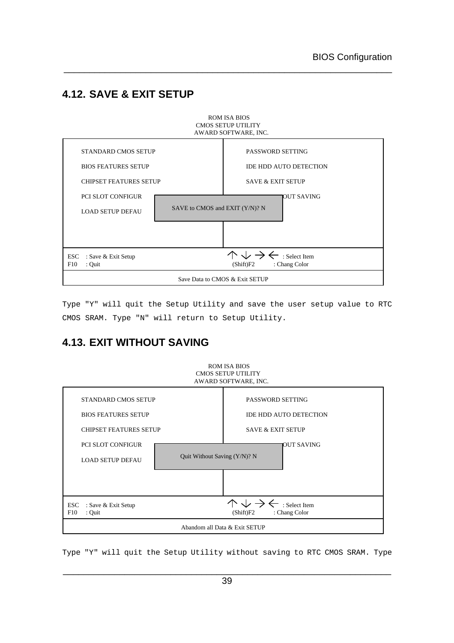# **4.12. SAVE & EXIT SETUP**



\_\_\_\_\_\_\_\_\_\_\_\_\_\_\_\_\_\_\_\_\_\_\_\_\_\_\_\_\_\_\_\_\_\_\_\_\_\_\_\_\_\_\_\_\_\_\_\_\_\_\_\_\_\_\_\_\_\_\_\_\_\_\_\_

Type "Y" will quit the Setup Utility and save the user setup value to RTC CMOS SRAM. Type "N" will return to Setup Utility.

### **4.13. EXIT WITHOUT SAVING**



Type "Y" will quit the Setup Utility without saving to RTC CMOS SRAM. Type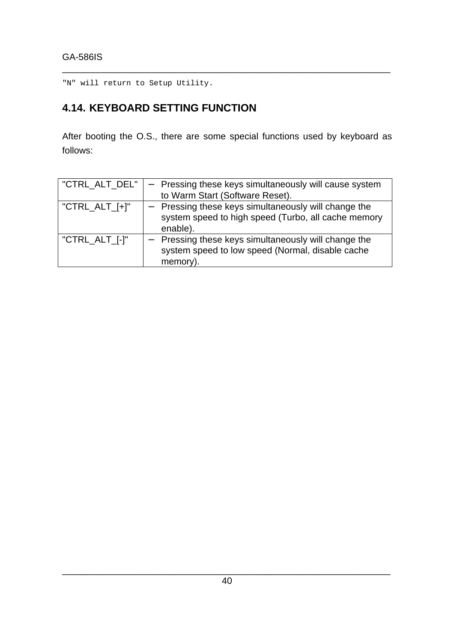"N" will return to Setup Utility.

# **4.14. KEYBOARD SETTING FUNCTION**

After booting the O.S., there are some special functions used by keyboard as follows:

\_\_\_\_\_\_\_\_\_\_\_\_\_\_\_\_\_\_\_\_\_\_\_\_\_\_\_\_\_\_\_\_\_\_\_\_\_\_\_\_\_\_\_\_\_\_\_\_\_\_\_\_\_\_\_\_\_\_\_\_\_\_\_\_

| "CTRL_ALT_DEL"     | - Pressing these keys simultaneously will cause system<br>to Warm Start (Software Reset).                               |
|--------------------|-------------------------------------------------------------------------------------------------------------------------|
| "CTRL_ALT_ $[+]$ " | - Pressing these keys simultaneously will change the<br>system speed to high speed (Turbo, all cache memory<br>enable). |
| "CTRL_ALT_[-]"     | - Pressing these keys simultaneously will change the<br>system speed to low speed (Normal, disable cache<br>memory).    |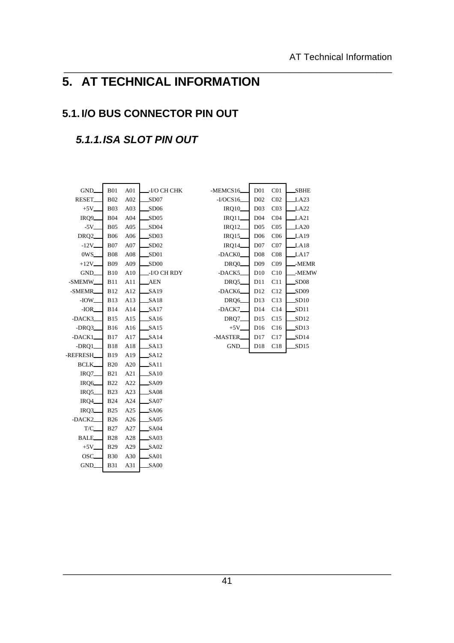# **5. AT TECHNICAL INFORMATION**

\_\_\_\_\_\_\_\_\_\_\_\_\_\_\_\_\_\_\_\_\_\_\_\_\_\_\_\_\_\_\_\_\_\_\_\_\_\_\_\_\_\_\_\_\_\_\_\_\_\_\_\_\_\_\_\_\_\_\_\_\_\_\_\_

# **5.1. I/O BUS CONNECTOR PIN OUT**

# *5.1.1.ISA SLOT PIN OUT*

| GND                  | <b>B01</b>  | A01             | -I/O CH CHK      |
|----------------------|-------------|-----------------|------------------|
| RESET_               | <b>B02</b>  | A02             | SD07             |
| $+5V$ <sub>-</sub>   | <b>B03</b>  | A03             | SD06             |
| IRQ <sub>9</sub>     | <b>B04</b>  | A <sub>04</sub> | SD05             |
| $-5V_{-}$            | B05         | A05             | SD <sub>04</sub> |
| DRQ <sub>2</sub>     | <b>B06</b>  | A06             | SD03             |
| $-12V$ <sub>-</sub>  | <b>B07</b>  | A07             | SD02             |
| 0WS_                 | <b>B08</b>  | A08             | SD01             |
| $+12V$ <sub>-</sub>  | <b>B09</b>  | A09             | SD00             |
| GND_                 | <b>B</b> 10 | A10             | -I/O CH RDY      |
| -SMEMW_              | <b>B11</b>  | A11             | <b>AEN</b>       |
| -SMEMR_              | <b>B12</b>  | A12             | SA19             |
| $-IOW$               | <b>B</b> 13 | A13             | SA18             |
| $-IOR$               | <b>B</b> 14 | A14             | SA17             |
| -DACK3               |             | B15 A15         | SA16             |
| $-DRQ3$              |             | B16 A16         | SA15             |
| -DACK1_              |             | B17 A17         | SA14             |
| $-DRQ1$ <sub>-</sub> | <b>B18</b>  | A18             | SA13             |
| -REFRESH             | <b>B</b> 19 | A19             | SA12             |
| BCLK_                | <b>B20</b>  | A20             | SA11             |
| $IRQ7$ <sub>-</sub>  | <b>B21</b>  | A21             | S <sub>A10</sub> |
| IRQ <sub>6</sub>     | <b>B22</b>  | A22             | SA09             |
| IRQ5                 | <b>B23</b>  | A23             | <b>SA08</b>      |
| IRQ4                 | <b>B24</b>  | A24             | SA07             |
| IRQ3                 | <b>B25</b>  | A25             | SA06             |
| -DACK2               | <b>B26</b>  | A26             | SA05             |
| T/C                  | <b>B27</b>  | A27             | SA04             |
| <b>BALE</b>          | <b>B28</b>  | A28             | SA03             |
| $+5V_{-}$            | <b>B29</b>  | A29             | SA02             |
| OSC.                 | <b>B30</b>  | A30             | SA01             |
| GND_                 | <b>B31</b>  | A31             | SAOO             |
|                      |             |                 |                  |

| -MEMCS16             | D <sub>01</sub> | C <sub>01</sub> | SBHE             |
|----------------------|-----------------|-----------------|------------------|
| $-VOCS16$            | D <sub>02</sub> | CO <sub>2</sub> | LA <sub>23</sub> |
| <b>IRQ10_</b>        | D <sub>03</sub> | CO <sub>3</sub> | LA22             |
| $IRQ11$ <sub>-</sub> | D <sub>04</sub> | CO <sub>4</sub> | LA21             |
| IRQ12_               | D <sub>05</sub> | CO <sub>5</sub> | LA20             |
| IRQ15                | D <sub>06</sub> | C <sub>06</sub> | LA19             |
| $IRQ14$ <sub>-</sub> | D <sub>07</sub> | CO <sub>7</sub> | LA18             |
| -DACK0_              | D <sub>08</sub> | CO8             | LA17             |
| DRQ <sub>0</sub>     | D <sub>09</sub> | CO9             | -MEMR            |
| -DACK5               | D10             | C10             | -MEMW            |
| DRQ5_                | D11             | C11             | $\_SD08$         |
| $-DACK6$             | D <sub>12</sub> | C12             | SD09             |
| DRQ6                 | D <sub>13</sub> | C13             | SD10             |
| $-$ DACK7 $-$        | D14             | C14             | SD11             |
| DRQ7_                | D <sub>15</sub> | C15             | SD12             |
| $+5V$                | D <sub>16</sub> | C16             | SD13             |
| -MASTER_             | D <sub>17</sub> | C17             | SD14             |
| <b>GND</b>           | D <sub>18</sub> | C18             | $\_SD15$         |
|                      |                 |                 |                  |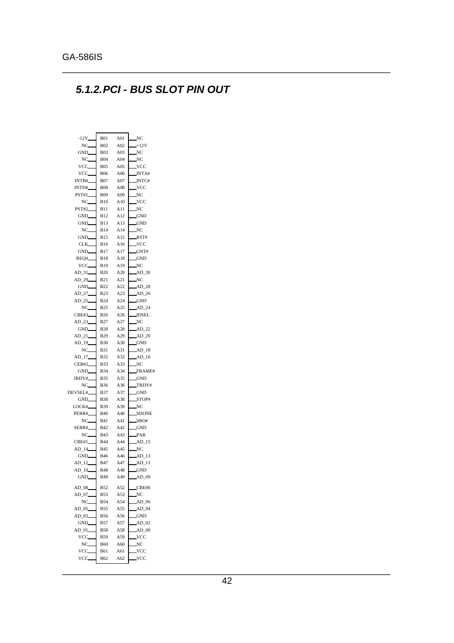# *5.1.2.PCI - BUS SLOT PIN OUT*

\_\_\_\_\_\_\_\_\_\_\_\_\_\_\_\_\_\_\_\_\_\_\_\_\_\_\_\_\_\_\_\_\_\_\_\_\_\_\_\_\_\_\_\_\_\_\_\_\_\_\_\_\_\_\_\_\_\_\_\_\_\_\_\_

| $NC_{-}$<br><b>B02</b><br>A02<br>$+12V$<br><b>B03</b><br>A03<br>NC<br>GND_<br>NC<br><b>B04</b><br>A04<br>NC<br>VCC.<br><b>B05</b><br>VCC.<br>A05<br>VCC<br><b>B06</b><br>INTA#<br>A06<br>INTB#<br><b>B07</b><br>A07<br>INTC#<br>INTD#<br><b>B08</b><br>A08<br>VCC.<br>PST#1<br><b>B09</b><br>A09<br>NC<br>NC.<br>A10<br>VCC.<br><b>B10</b><br><b>PST#2</b><br><b>B11</b><br>A11<br>NC<br>GND_<br><b>B12</b><br>A12<br>GND<br>GND_<br><b>B13</b><br>A13<br>GND<br>NC<br><b>B14</b><br>A14<br>NC<br>GND_<br><b>B15</b><br>A15<br>RST#<br>CLK_<br>A16<br>VCC.<br><b>B16</b><br>GND_<br>B17<br>A17<br>GNT#<br>REQ#<br><b>B18</b><br>A18<br><b>GND</b><br>VCC.<br><b>B19</b><br>A19<br>NC<br>AD_31<br><b>B20</b><br>A20<br>$AD_30$<br>AD_29_<br><b>B21</b><br>A21<br>NC<br>A22<br>AD28<br>GND.<br><b>B22</b><br>AD 27<br>AD26<br><b>B23</b><br>A23<br>AD 25<br><b>B24</b><br>A24<br><b>GND</b><br>NC_<br><b>B25</b><br>A25<br>AD 24<br>CBE#3<br>A26<br><b>IDSEL</b><br><b>B26</b><br>A27<br>AD 23<br><b>B27</b><br>NC<br><b>B28</b><br>A28<br>AD 22<br>GND_<br>$AD_21$<br>$AD_20$<br><b>B29</b><br>A29<br>AD 19<br><b>B30</b><br>A30<br><b>GND</b><br>NC<br>A31<br>$AD_18$<br><b>B31</b><br>AD_17<br><b>B32</b><br>A32<br>$AD_16$<br>A33<br><b>CEB#2</b><br><b>B33</b><br>NC<br>GND_<br><b>B34</b><br>A34<br>FRAME#<br>IRDY#<br>A35<br><b>B35</b><br>GND<br>NC.<br><b>B36</b><br>A36<br>TRDY#<br>DEVSEL#<br>B37<br>A37<br><b>GND</b><br>GND_<br><b>B38</b><br>A38<br>STOP#<br>LOCK#<br><b>B39</b><br>A39<br>NC<br>PERR#<br><b>B40</b><br>A40<br><b>SDONE</b><br>NC<br>B41<br>A41<br>SBO#<br>B42<br>A42<br>GND<br>SERR#<br>NC<br><b>B43</b><br>A43<br>PAR<br>CBE#1<br><b>B44</b><br>A44<br>AD_15<br>$AD_14$<br>A45<br>$_{\rm NC}$<br>B45<br>$AD_13$<br>GND.<br><b>B46</b><br>A46<br>AD_12<br>AD <sub>11</sub><br><b>B47</b><br>A47<br>$AD_10$<br>A48<br><b>B48</b><br>GND<br>GND.<br>B49<br>A49<br>_AD_09<br>$AD_08$<br><b>B52</b><br>A52<br>CBE#0<br>AD_07<br>A53<br><b>B53</b><br>NC<br>NC<br>A54<br><b>B54</b><br>$AD_06$<br>A55<br>$AD$ 04<br>B55<br>AD_05<br>AD 03<br>A56<br><b>B56</b><br><b>GND</b><br>GND.<br><b>B57</b><br>A57<br>AD_02<br>$AD_01$<br><b>B58</b><br>A58<br>$AD_0$<br>VCC.<br>A59<br><b>VCC</b><br><b>B59</b><br>NC.<br>NC<br>A60<br>B60<br>VCC.<br>A61<br>VCC.<br>B61 | $-12V$ | <b>B01</b> | A01 | NC  |
|------------------------------------------------------------------------------------------------------------------------------------------------------------------------------------------------------------------------------------------------------------------------------------------------------------------------------------------------------------------------------------------------------------------------------------------------------------------------------------------------------------------------------------------------------------------------------------------------------------------------------------------------------------------------------------------------------------------------------------------------------------------------------------------------------------------------------------------------------------------------------------------------------------------------------------------------------------------------------------------------------------------------------------------------------------------------------------------------------------------------------------------------------------------------------------------------------------------------------------------------------------------------------------------------------------------------------------------------------------------------------------------------------------------------------------------------------------------------------------------------------------------------------------------------------------------------------------------------------------------------------------------------------------------------------------------------------------------------------------------------------------------------------------------------------------------------------------------------------------------------------------------------------------------------------------------------------------------------------------------------------------------------------------------------------------------------------------------------------------------------------------------------------------------------------------------------------------------------------------------------------------------------------------------|--------|------------|-----|-----|
|                                                                                                                                                                                                                                                                                                                                                                                                                                                                                                                                                                                                                                                                                                                                                                                                                                                                                                                                                                                                                                                                                                                                                                                                                                                                                                                                                                                                                                                                                                                                                                                                                                                                                                                                                                                                                                                                                                                                                                                                                                                                                                                                                                                                                                                                                          |        |            |     |     |
|                                                                                                                                                                                                                                                                                                                                                                                                                                                                                                                                                                                                                                                                                                                                                                                                                                                                                                                                                                                                                                                                                                                                                                                                                                                                                                                                                                                                                                                                                                                                                                                                                                                                                                                                                                                                                                                                                                                                                                                                                                                                                                                                                                                                                                                                                          |        |            |     |     |
|                                                                                                                                                                                                                                                                                                                                                                                                                                                                                                                                                                                                                                                                                                                                                                                                                                                                                                                                                                                                                                                                                                                                                                                                                                                                                                                                                                                                                                                                                                                                                                                                                                                                                                                                                                                                                                                                                                                                                                                                                                                                                                                                                                                                                                                                                          |        |            |     |     |
|                                                                                                                                                                                                                                                                                                                                                                                                                                                                                                                                                                                                                                                                                                                                                                                                                                                                                                                                                                                                                                                                                                                                                                                                                                                                                                                                                                                                                                                                                                                                                                                                                                                                                                                                                                                                                                                                                                                                                                                                                                                                                                                                                                                                                                                                                          |        |            |     |     |
|                                                                                                                                                                                                                                                                                                                                                                                                                                                                                                                                                                                                                                                                                                                                                                                                                                                                                                                                                                                                                                                                                                                                                                                                                                                                                                                                                                                                                                                                                                                                                                                                                                                                                                                                                                                                                                                                                                                                                                                                                                                                                                                                                                                                                                                                                          |        |            |     |     |
|                                                                                                                                                                                                                                                                                                                                                                                                                                                                                                                                                                                                                                                                                                                                                                                                                                                                                                                                                                                                                                                                                                                                                                                                                                                                                                                                                                                                                                                                                                                                                                                                                                                                                                                                                                                                                                                                                                                                                                                                                                                                                                                                                                                                                                                                                          |        |            |     |     |
|                                                                                                                                                                                                                                                                                                                                                                                                                                                                                                                                                                                                                                                                                                                                                                                                                                                                                                                                                                                                                                                                                                                                                                                                                                                                                                                                                                                                                                                                                                                                                                                                                                                                                                                                                                                                                                                                                                                                                                                                                                                                                                                                                                                                                                                                                          |        |            |     |     |
|                                                                                                                                                                                                                                                                                                                                                                                                                                                                                                                                                                                                                                                                                                                                                                                                                                                                                                                                                                                                                                                                                                                                                                                                                                                                                                                                                                                                                                                                                                                                                                                                                                                                                                                                                                                                                                                                                                                                                                                                                                                                                                                                                                                                                                                                                          |        |            |     |     |
|                                                                                                                                                                                                                                                                                                                                                                                                                                                                                                                                                                                                                                                                                                                                                                                                                                                                                                                                                                                                                                                                                                                                                                                                                                                                                                                                                                                                                                                                                                                                                                                                                                                                                                                                                                                                                                                                                                                                                                                                                                                                                                                                                                                                                                                                                          |        |            |     |     |
|                                                                                                                                                                                                                                                                                                                                                                                                                                                                                                                                                                                                                                                                                                                                                                                                                                                                                                                                                                                                                                                                                                                                                                                                                                                                                                                                                                                                                                                                                                                                                                                                                                                                                                                                                                                                                                                                                                                                                                                                                                                                                                                                                                                                                                                                                          |        |            |     |     |
|                                                                                                                                                                                                                                                                                                                                                                                                                                                                                                                                                                                                                                                                                                                                                                                                                                                                                                                                                                                                                                                                                                                                                                                                                                                                                                                                                                                                                                                                                                                                                                                                                                                                                                                                                                                                                                                                                                                                                                                                                                                                                                                                                                                                                                                                                          |        |            |     |     |
|                                                                                                                                                                                                                                                                                                                                                                                                                                                                                                                                                                                                                                                                                                                                                                                                                                                                                                                                                                                                                                                                                                                                                                                                                                                                                                                                                                                                                                                                                                                                                                                                                                                                                                                                                                                                                                                                                                                                                                                                                                                                                                                                                                                                                                                                                          |        |            |     |     |
|                                                                                                                                                                                                                                                                                                                                                                                                                                                                                                                                                                                                                                                                                                                                                                                                                                                                                                                                                                                                                                                                                                                                                                                                                                                                                                                                                                                                                                                                                                                                                                                                                                                                                                                                                                                                                                                                                                                                                                                                                                                                                                                                                                                                                                                                                          |        |            |     |     |
|                                                                                                                                                                                                                                                                                                                                                                                                                                                                                                                                                                                                                                                                                                                                                                                                                                                                                                                                                                                                                                                                                                                                                                                                                                                                                                                                                                                                                                                                                                                                                                                                                                                                                                                                                                                                                                                                                                                                                                                                                                                                                                                                                                                                                                                                                          |        |            |     |     |
|                                                                                                                                                                                                                                                                                                                                                                                                                                                                                                                                                                                                                                                                                                                                                                                                                                                                                                                                                                                                                                                                                                                                                                                                                                                                                                                                                                                                                                                                                                                                                                                                                                                                                                                                                                                                                                                                                                                                                                                                                                                                                                                                                                                                                                                                                          |        |            |     |     |
|                                                                                                                                                                                                                                                                                                                                                                                                                                                                                                                                                                                                                                                                                                                                                                                                                                                                                                                                                                                                                                                                                                                                                                                                                                                                                                                                                                                                                                                                                                                                                                                                                                                                                                                                                                                                                                                                                                                                                                                                                                                                                                                                                                                                                                                                                          |        |            |     |     |
|                                                                                                                                                                                                                                                                                                                                                                                                                                                                                                                                                                                                                                                                                                                                                                                                                                                                                                                                                                                                                                                                                                                                                                                                                                                                                                                                                                                                                                                                                                                                                                                                                                                                                                                                                                                                                                                                                                                                                                                                                                                                                                                                                                                                                                                                                          |        |            |     |     |
|                                                                                                                                                                                                                                                                                                                                                                                                                                                                                                                                                                                                                                                                                                                                                                                                                                                                                                                                                                                                                                                                                                                                                                                                                                                                                                                                                                                                                                                                                                                                                                                                                                                                                                                                                                                                                                                                                                                                                                                                                                                                                                                                                                                                                                                                                          |        |            |     |     |
|                                                                                                                                                                                                                                                                                                                                                                                                                                                                                                                                                                                                                                                                                                                                                                                                                                                                                                                                                                                                                                                                                                                                                                                                                                                                                                                                                                                                                                                                                                                                                                                                                                                                                                                                                                                                                                                                                                                                                                                                                                                                                                                                                                                                                                                                                          |        |            |     |     |
|                                                                                                                                                                                                                                                                                                                                                                                                                                                                                                                                                                                                                                                                                                                                                                                                                                                                                                                                                                                                                                                                                                                                                                                                                                                                                                                                                                                                                                                                                                                                                                                                                                                                                                                                                                                                                                                                                                                                                                                                                                                                                                                                                                                                                                                                                          |        |            |     |     |
|                                                                                                                                                                                                                                                                                                                                                                                                                                                                                                                                                                                                                                                                                                                                                                                                                                                                                                                                                                                                                                                                                                                                                                                                                                                                                                                                                                                                                                                                                                                                                                                                                                                                                                                                                                                                                                                                                                                                                                                                                                                                                                                                                                                                                                                                                          |        |            |     |     |
|                                                                                                                                                                                                                                                                                                                                                                                                                                                                                                                                                                                                                                                                                                                                                                                                                                                                                                                                                                                                                                                                                                                                                                                                                                                                                                                                                                                                                                                                                                                                                                                                                                                                                                                                                                                                                                                                                                                                                                                                                                                                                                                                                                                                                                                                                          |        |            |     |     |
|                                                                                                                                                                                                                                                                                                                                                                                                                                                                                                                                                                                                                                                                                                                                                                                                                                                                                                                                                                                                                                                                                                                                                                                                                                                                                                                                                                                                                                                                                                                                                                                                                                                                                                                                                                                                                                                                                                                                                                                                                                                                                                                                                                                                                                                                                          |        |            |     |     |
|                                                                                                                                                                                                                                                                                                                                                                                                                                                                                                                                                                                                                                                                                                                                                                                                                                                                                                                                                                                                                                                                                                                                                                                                                                                                                                                                                                                                                                                                                                                                                                                                                                                                                                                                                                                                                                                                                                                                                                                                                                                                                                                                                                                                                                                                                          |        |            |     |     |
|                                                                                                                                                                                                                                                                                                                                                                                                                                                                                                                                                                                                                                                                                                                                                                                                                                                                                                                                                                                                                                                                                                                                                                                                                                                                                                                                                                                                                                                                                                                                                                                                                                                                                                                                                                                                                                                                                                                                                                                                                                                                                                                                                                                                                                                                                          |        |            |     |     |
|                                                                                                                                                                                                                                                                                                                                                                                                                                                                                                                                                                                                                                                                                                                                                                                                                                                                                                                                                                                                                                                                                                                                                                                                                                                                                                                                                                                                                                                                                                                                                                                                                                                                                                                                                                                                                                                                                                                                                                                                                                                                                                                                                                                                                                                                                          |        |            |     |     |
|                                                                                                                                                                                                                                                                                                                                                                                                                                                                                                                                                                                                                                                                                                                                                                                                                                                                                                                                                                                                                                                                                                                                                                                                                                                                                                                                                                                                                                                                                                                                                                                                                                                                                                                                                                                                                                                                                                                                                                                                                                                                                                                                                                                                                                                                                          |        |            |     |     |
|                                                                                                                                                                                                                                                                                                                                                                                                                                                                                                                                                                                                                                                                                                                                                                                                                                                                                                                                                                                                                                                                                                                                                                                                                                                                                                                                                                                                                                                                                                                                                                                                                                                                                                                                                                                                                                                                                                                                                                                                                                                                                                                                                                                                                                                                                          |        |            |     |     |
|                                                                                                                                                                                                                                                                                                                                                                                                                                                                                                                                                                                                                                                                                                                                                                                                                                                                                                                                                                                                                                                                                                                                                                                                                                                                                                                                                                                                                                                                                                                                                                                                                                                                                                                                                                                                                                                                                                                                                                                                                                                                                                                                                                                                                                                                                          |        |            |     |     |
|                                                                                                                                                                                                                                                                                                                                                                                                                                                                                                                                                                                                                                                                                                                                                                                                                                                                                                                                                                                                                                                                                                                                                                                                                                                                                                                                                                                                                                                                                                                                                                                                                                                                                                                                                                                                                                                                                                                                                                                                                                                                                                                                                                                                                                                                                          |        |            |     |     |
|                                                                                                                                                                                                                                                                                                                                                                                                                                                                                                                                                                                                                                                                                                                                                                                                                                                                                                                                                                                                                                                                                                                                                                                                                                                                                                                                                                                                                                                                                                                                                                                                                                                                                                                                                                                                                                                                                                                                                                                                                                                                                                                                                                                                                                                                                          |        |            |     |     |
|                                                                                                                                                                                                                                                                                                                                                                                                                                                                                                                                                                                                                                                                                                                                                                                                                                                                                                                                                                                                                                                                                                                                                                                                                                                                                                                                                                                                                                                                                                                                                                                                                                                                                                                                                                                                                                                                                                                                                                                                                                                                                                                                                                                                                                                                                          |        |            |     |     |
|                                                                                                                                                                                                                                                                                                                                                                                                                                                                                                                                                                                                                                                                                                                                                                                                                                                                                                                                                                                                                                                                                                                                                                                                                                                                                                                                                                                                                                                                                                                                                                                                                                                                                                                                                                                                                                                                                                                                                                                                                                                                                                                                                                                                                                                                                          |        |            |     |     |
|                                                                                                                                                                                                                                                                                                                                                                                                                                                                                                                                                                                                                                                                                                                                                                                                                                                                                                                                                                                                                                                                                                                                                                                                                                                                                                                                                                                                                                                                                                                                                                                                                                                                                                                                                                                                                                                                                                                                                                                                                                                                                                                                                                                                                                                                                          |        |            |     |     |
|                                                                                                                                                                                                                                                                                                                                                                                                                                                                                                                                                                                                                                                                                                                                                                                                                                                                                                                                                                                                                                                                                                                                                                                                                                                                                                                                                                                                                                                                                                                                                                                                                                                                                                                                                                                                                                                                                                                                                                                                                                                                                                                                                                                                                                                                                          |        |            |     |     |
|                                                                                                                                                                                                                                                                                                                                                                                                                                                                                                                                                                                                                                                                                                                                                                                                                                                                                                                                                                                                                                                                                                                                                                                                                                                                                                                                                                                                                                                                                                                                                                                                                                                                                                                                                                                                                                                                                                                                                                                                                                                                                                                                                                                                                                                                                          |        |            |     |     |
|                                                                                                                                                                                                                                                                                                                                                                                                                                                                                                                                                                                                                                                                                                                                                                                                                                                                                                                                                                                                                                                                                                                                                                                                                                                                                                                                                                                                                                                                                                                                                                                                                                                                                                                                                                                                                                                                                                                                                                                                                                                                                                                                                                                                                                                                                          |        |            |     |     |
|                                                                                                                                                                                                                                                                                                                                                                                                                                                                                                                                                                                                                                                                                                                                                                                                                                                                                                                                                                                                                                                                                                                                                                                                                                                                                                                                                                                                                                                                                                                                                                                                                                                                                                                                                                                                                                                                                                                                                                                                                                                                                                                                                                                                                                                                                          |        |            |     |     |
|                                                                                                                                                                                                                                                                                                                                                                                                                                                                                                                                                                                                                                                                                                                                                                                                                                                                                                                                                                                                                                                                                                                                                                                                                                                                                                                                                                                                                                                                                                                                                                                                                                                                                                                                                                                                                                                                                                                                                                                                                                                                                                                                                                                                                                                                                          |        |            |     |     |
|                                                                                                                                                                                                                                                                                                                                                                                                                                                                                                                                                                                                                                                                                                                                                                                                                                                                                                                                                                                                                                                                                                                                                                                                                                                                                                                                                                                                                                                                                                                                                                                                                                                                                                                                                                                                                                                                                                                                                                                                                                                                                                                                                                                                                                                                                          |        |            |     |     |
|                                                                                                                                                                                                                                                                                                                                                                                                                                                                                                                                                                                                                                                                                                                                                                                                                                                                                                                                                                                                                                                                                                                                                                                                                                                                                                                                                                                                                                                                                                                                                                                                                                                                                                                                                                                                                                                                                                                                                                                                                                                                                                                                                                                                                                                                                          |        |            |     |     |
|                                                                                                                                                                                                                                                                                                                                                                                                                                                                                                                                                                                                                                                                                                                                                                                                                                                                                                                                                                                                                                                                                                                                                                                                                                                                                                                                                                                                                                                                                                                                                                                                                                                                                                                                                                                                                                                                                                                                                                                                                                                                                                                                                                                                                                                                                          |        |            |     |     |
|                                                                                                                                                                                                                                                                                                                                                                                                                                                                                                                                                                                                                                                                                                                                                                                                                                                                                                                                                                                                                                                                                                                                                                                                                                                                                                                                                                                                                                                                                                                                                                                                                                                                                                                                                                                                                                                                                                                                                                                                                                                                                                                                                                                                                                                                                          |        |            |     |     |
|                                                                                                                                                                                                                                                                                                                                                                                                                                                                                                                                                                                                                                                                                                                                                                                                                                                                                                                                                                                                                                                                                                                                                                                                                                                                                                                                                                                                                                                                                                                                                                                                                                                                                                                                                                                                                                                                                                                                                                                                                                                                                                                                                                                                                                                                                          |        |            |     |     |
|                                                                                                                                                                                                                                                                                                                                                                                                                                                                                                                                                                                                                                                                                                                                                                                                                                                                                                                                                                                                                                                                                                                                                                                                                                                                                                                                                                                                                                                                                                                                                                                                                                                                                                                                                                                                                                                                                                                                                                                                                                                                                                                                                                                                                                                                                          |        |            |     |     |
|                                                                                                                                                                                                                                                                                                                                                                                                                                                                                                                                                                                                                                                                                                                                                                                                                                                                                                                                                                                                                                                                                                                                                                                                                                                                                                                                                                                                                                                                                                                                                                                                                                                                                                                                                                                                                                                                                                                                                                                                                                                                                                                                                                                                                                                                                          |        |            |     |     |
|                                                                                                                                                                                                                                                                                                                                                                                                                                                                                                                                                                                                                                                                                                                                                                                                                                                                                                                                                                                                                                                                                                                                                                                                                                                                                                                                                                                                                                                                                                                                                                                                                                                                                                                                                                                                                                                                                                                                                                                                                                                                                                                                                                                                                                                                                          |        |            |     |     |
|                                                                                                                                                                                                                                                                                                                                                                                                                                                                                                                                                                                                                                                                                                                                                                                                                                                                                                                                                                                                                                                                                                                                                                                                                                                                                                                                                                                                                                                                                                                                                                                                                                                                                                                                                                                                                                                                                                                                                                                                                                                                                                                                                                                                                                                                                          |        |            |     |     |
|                                                                                                                                                                                                                                                                                                                                                                                                                                                                                                                                                                                                                                                                                                                                                                                                                                                                                                                                                                                                                                                                                                                                                                                                                                                                                                                                                                                                                                                                                                                                                                                                                                                                                                                                                                                                                                                                                                                                                                                                                                                                                                                                                                                                                                                                                          |        |            |     |     |
|                                                                                                                                                                                                                                                                                                                                                                                                                                                                                                                                                                                                                                                                                                                                                                                                                                                                                                                                                                                                                                                                                                                                                                                                                                                                                                                                                                                                                                                                                                                                                                                                                                                                                                                                                                                                                                                                                                                                                                                                                                                                                                                                                                                                                                                                                          |        |            |     |     |
|                                                                                                                                                                                                                                                                                                                                                                                                                                                                                                                                                                                                                                                                                                                                                                                                                                                                                                                                                                                                                                                                                                                                                                                                                                                                                                                                                                                                                                                                                                                                                                                                                                                                                                                                                                                                                                                                                                                                                                                                                                                                                                                                                                                                                                                                                          |        |            |     |     |
|                                                                                                                                                                                                                                                                                                                                                                                                                                                                                                                                                                                                                                                                                                                                                                                                                                                                                                                                                                                                                                                                                                                                                                                                                                                                                                                                                                                                                                                                                                                                                                                                                                                                                                                                                                                                                                                                                                                                                                                                                                                                                                                                                                                                                                                                                          |        |            |     |     |
|                                                                                                                                                                                                                                                                                                                                                                                                                                                                                                                                                                                                                                                                                                                                                                                                                                                                                                                                                                                                                                                                                                                                                                                                                                                                                                                                                                                                                                                                                                                                                                                                                                                                                                                                                                                                                                                                                                                                                                                                                                                                                                                                                                                                                                                                                          |        |            |     |     |
|                                                                                                                                                                                                                                                                                                                                                                                                                                                                                                                                                                                                                                                                                                                                                                                                                                                                                                                                                                                                                                                                                                                                                                                                                                                                                                                                                                                                                                                                                                                                                                                                                                                                                                                                                                                                                                                                                                                                                                                                                                                                                                                                                                                                                                                                                          |        |            |     |     |
|                                                                                                                                                                                                                                                                                                                                                                                                                                                                                                                                                                                                                                                                                                                                                                                                                                                                                                                                                                                                                                                                                                                                                                                                                                                                                                                                                                                                                                                                                                                                                                                                                                                                                                                                                                                                                                                                                                                                                                                                                                                                                                                                                                                                                                                                                          |        |            |     |     |
|                                                                                                                                                                                                                                                                                                                                                                                                                                                                                                                                                                                                                                                                                                                                                                                                                                                                                                                                                                                                                                                                                                                                                                                                                                                                                                                                                                                                                                                                                                                                                                                                                                                                                                                                                                                                                                                                                                                                                                                                                                                                                                                                                                                                                                                                                          |        |            |     |     |
|                                                                                                                                                                                                                                                                                                                                                                                                                                                                                                                                                                                                                                                                                                                                                                                                                                                                                                                                                                                                                                                                                                                                                                                                                                                                                                                                                                                                                                                                                                                                                                                                                                                                                                                                                                                                                                                                                                                                                                                                                                                                                                                                                                                                                                                                                          |        |            |     |     |
|                                                                                                                                                                                                                                                                                                                                                                                                                                                                                                                                                                                                                                                                                                                                                                                                                                                                                                                                                                                                                                                                                                                                                                                                                                                                                                                                                                                                                                                                                                                                                                                                                                                                                                                                                                                                                                                                                                                                                                                                                                                                                                                                                                                                                                                                                          |        |            |     |     |
|                                                                                                                                                                                                                                                                                                                                                                                                                                                                                                                                                                                                                                                                                                                                                                                                                                                                                                                                                                                                                                                                                                                                                                                                                                                                                                                                                                                                                                                                                                                                                                                                                                                                                                                                                                                                                                                                                                                                                                                                                                                                                                                                                                                                                                                                                          |        |            |     |     |
|                                                                                                                                                                                                                                                                                                                                                                                                                                                                                                                                                                                                                                                                                                                                                                                                                                                                                                                                                                                                                                                                                                                                                                                                                                                                                                                                                                                                                                                                                                                                                                                                                                                                                                                                                                                                                                                                                                                                                                                                                                                                                                                                                                                                                                                                                          | VCC.   | <b>B62</b> | A62 | VCC |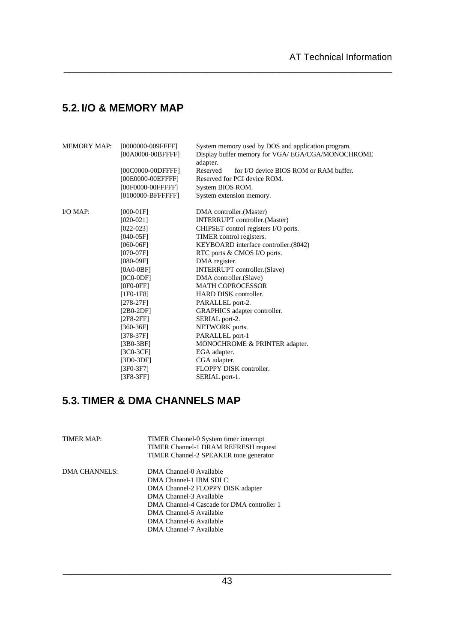# **5.2. I/O & MEMORY MAP**

| <b>MEMORY MAP:</b> | [0000000-009FFFF] | System memory used by DOS and application program. |
|--------------------|-------------------|----------------------------------------------------|
|                    | [00A0000-00BFFFF] | Display buffer memory for VGA/EGA/CGA/MONOCHROME   |
|                    |                   | adapter.                                           |
|                    | [00C0000-00DFFFF] | Reserved<br>for I/O device BIOS ROM or RAM buffer. |
|                    | [00E0000-00EFFFF] | Reserved for PCI device ROM.                       |
|                    | [00F0000-00FFFFF] | System BIOS ROM.                                   |
|                    | [0100000-BFFFFFF] | System extension memory.                           |
| $I/O$ MAP:         | $[000-01]$        | DMA controller. (Master)                           |
|                    | $[020-021]$       | INTERRUPT controller. (Master)                     |
|                    | $[022-023]$       | CHIPSET control registers I/O ports.               |
|                    | [040-05F]         | TIMER control registers.                           |
|                    | $[060-06F]$       | KEYBOARD interface controller.(8042)               |
|                    | [070-07F]         | RTC ports & CMOS I/O ports.                        |
|                    | [080-09F]         | DMA register.                                      |
|                    | $[0A0-0BF]$       | INTERRUPT controller.(Slave)                       |
|                    | $[0C0-0DF]$       | DMA controller. (Slave)                            |
|                    | $[0F0-0FF]$       | <b>MATH COPROCESSOR</b>                            |
|                    | $[1F0-1F8]$       | <b>HARD DISK controller.</b>                       |
|                    | $[278-27F]$       | PARALLEL port-2.                                   |
|                    | $[2B0-2DF]$       | GRAPHICS adapter controller.                       |
|                    | $[2F8-2FF]$       | SERIAL port-2.                                     |
|                    | $[360-36F]$       | NETWORK ports.                                     |
|                    | [378-37F]         | PARALLEL port-1                                    |
|                    | $[3B0-3BF]$       | MONOCHROME & PRINTER adapter.                      |
|                    | $[3C0-3CF]$       | EGA adapter.                                       |
|                    | [3D0-3DF]         | CGA adapter.                                       |
|                    | $[3F0-3F7]$       | FLOPPY DISK controller.                            |
|                    | [3F8-3FF]         | SERIAL port-1.                                     |

\_\_\_\_\_\_\_\_\_\_\_\_\_\_\_\_\_\_\_\_\_\_\_\_\_\_\_\_\_\_\_\_\_\_\_\_\_\_\_\_\_\_\_\_\_\_\_\_\_\_\_\_\_\_\_\_\_\_\_\_\_\_\_\_

# **5.3.TIMER & DMA CHANNELS MAP**

| <b>TIMER MAP:</b> | TIMER Channel-0 System timer interrupt<br>TIMER Channel-1 DRAM REFRESH request<br>TIMER Channel-2 SPEAKER tone generator                                                                                                                         |
|-------------------|--------------------------------------------------------------------------------------------------------------------------------------------------------------------------------------------------------------------------------------------------|
| DMA CHANNELS:     | DMA Channel-0 Available<br>DMA Channel-1 IBM SDLC<br>DMA Channel-2 FLOPPY DISK adapter<br>DMA Channel-3 Available<br>DMA Channel-4 Cascade for DMA controller 1<br>DMA Channel-5 Available<br>DMA Channel-6 Available<br>DMA Channel-7 Available |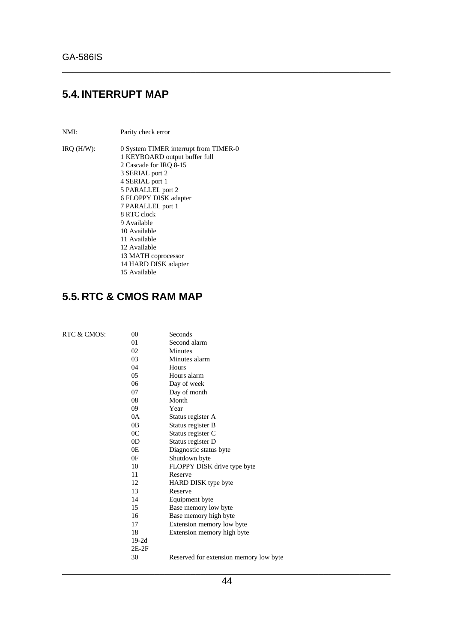# **5.4. INTERRUPT MAP**

- NMI: Parity check error
- IRQ (H/W): 0 System TIMER interrupt from TIMER-0 1 KEYBOARD output buffer full 2 Cascade for IRQ 8-15 3 SERIAL port 2 4 SERIAL port 1 5 PARALLEL port 2 6 FLOPPY DISK adapter 7 PARALLEL port 1 8 RTC clock 9 Available 10 Available 11 Available 12 Available 13 MATH coprocessor 14 HARD DISK adapter 15 Available

\_\_\_\_\_\_\_\_\_\_\_\_\_\_\_\_\_\_\_\_\_\_\_\_\_\_\_\_\_\_\_\_\_\_\_\_\_\_\_\_\_\_\_\_\_\_\_\_\_\_\_\_\_\_\_\_\_\_\_\_\_\_\_\_

# **5.5. RTC & CMOS RAM MAP**

| RTC & CMOS: | 00             | Seconds                                |
|-------------|----------------|----------------------------------------|
|             | 01             | Second alarm                           |
|             | 02             | <b>Minutes</b>                         |
|             | 03             | Minutes alarm                          |
|             | 04             | Hours                                  |
|             | 05             | Hours alarm                            |
|             | 06             | Day of week                            |
|             | 07             | Day of month                           |
|             | 08             | Month                                  |
|             | 09             | Year                                   |
|             | 0A             | Status register A                      |
|             | 0B             | Status register B                      |
|             | 0 <sup>C</sup> | Status register C                      |
|             | 0 <sub>D</sub> | Status register D                      |
|             | 0E             | Diagnostic status byte                 |
|             | 0F             | Shutdown byte                          |
|             | 10             | FLOPPY DISK drive type byte            |
|             | 11             | Reserve                                |
|             | 12             | HARD DISK type byte                    |
|             | 13             | Reserve                                |
|             | 14             | Equipment byte                         |
|             | 15             | Base memory low byte                   |
|             | 16             | Base memory high byte                  |
|             | 17             | Extension memory low byte              |
|             | 18             | Extension memory high byte             |
|             | $19-2d$        |                                        |
|             | $2E-2F$        |                                        |
|             | 30             | Reserved for extension memory low byte |
|             |                |                                        |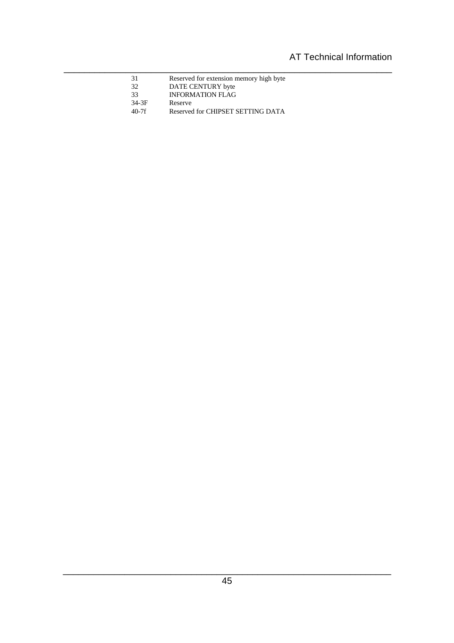| Reserved for extension memory high byte |
|-----------------------------------------|
| DATE CENTURY byte                       |

33 INFORMATION FLAG<br>34-3F Reserve

Reserve

40-7f Reserved for CHIPSET SETTING DATA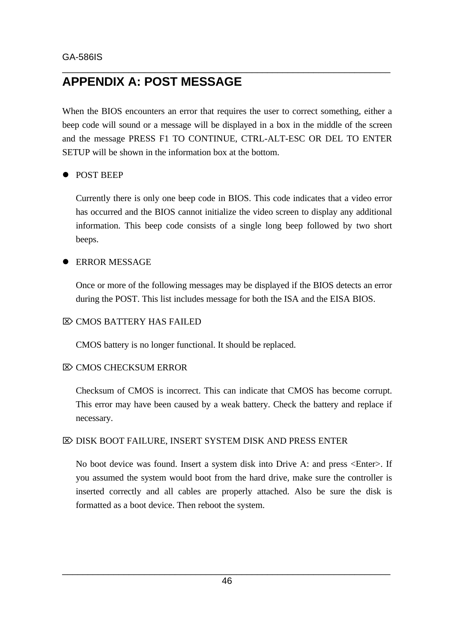# **APPENDIX A: POST MESSAGE**

When the BIOS encounters an error that requires the user to correct something, either a beep code will sound or a message will be displayed in a box in the middle of the screen and the message PRESS F1 TO CONTINUE, CTRL-ALT-ESC OR DEL TO ENTER SETUP will be shown in the information box at the bottom.

\_\_\_\_\_\_\_\_\_\_\_\_\_\_\_\_\_\_\_\_\_\_\_\_\_\_\_\_\_\_\_\_\_\_\_\_\_\_\_\_\_\_\_\_\_\_\_\_\_\_\_\_\_\_\_\_\_\_\_\_\_\_\_\_

#### **• POST BEEP**

Currently there is only one beep code in BIOS. This code indicates that a video error has occurred and the BIOS cannot initialize the video screen to display any additional information. This beep code consists of a single long beep followed by two short beeps.

#### l ERROR MESSAGE

Once or more of the following messages may be displayed if the BIOS detects an error during the POST. This list includes message for both the ISA and the EISA BIOS.

#### $\overline{\infty}$  CMOS BATTERY HAS FAILED

CMOS battery is no longer functional. It should be replaced.

#### $\boxtimes$  CMOS CHECKSUM ERROR

Checksum of CMOS is incorrect. This can indicate that CMOS has become corrupt. This error may have been caused by a weak battery. Check the battery and replace if necessary.

#### ÷ DISK BOOT FAILURE, INSERT SYSTEM DISK AND PRESS ENTER

No boot device was found. Insert a system disk into Drive A: and press <Enter>. If you assumed the system would boot from the hard drive, make sure the controller is inserted correctly and all cables are properly attached. Also be sure the disk is formatted as a boot device. Then reboot the system.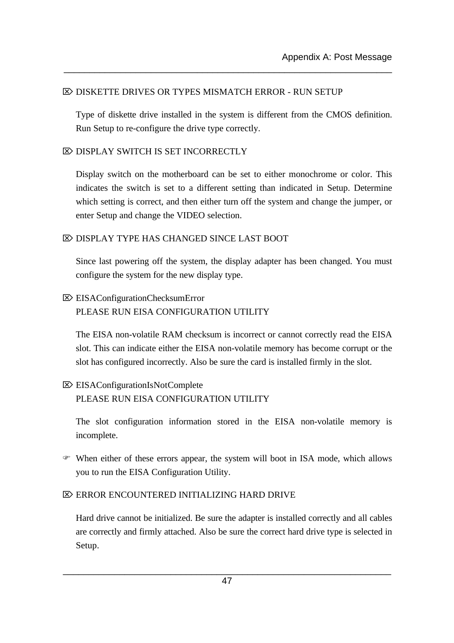#### $\mathbb{Z}$  DISKETTE DRIVES OR TYPES MISMATCH ERROR - RUN SETUP

Type of diskette drive installed in the system is different from the CMOS definition. Run Setup to re-configure the drive type correctly.

\_\_\_\_\_\_\_\_\_\_\_\_\_\_\_\_\_\_\_\_\_\_\_\_\_\_\_\_\_\_\_\_\_\_\_\_\_\_\_\_\_\_\_\_\_\_\_\_\_\_\_\_\_\_\_\_\_\_\_\_\_\_\_\_

#### **EX DISPLAY SWITCH IS SET INCORRECTLY**

Display switch on the motherboard can be set to either monochrome or color. This indicates the switch is set to a different setting than indicated in Setup. Determine which setting is correct, and then either turn off the system and change the jumper, or enter Setup and change the VIDEO selection.

#### $\boxtimes$  DISPLAY TYPE HAS CHANGED SINCE LAST BOOT

Since last powering off the system, the display adapter has been changed. You must configure the system for the new display type.

#### ■ EISAConfigurationChecksumError PLEASE RUN EISA CONFIGURATION UTILITY

The EISA non-volatile RAM checksum is incorrect or cannot correctly read the EISA slot. This can indicate either the EISA non-volatile memory has become corrupt or the

slot has configured incorrectly. Also be sure the card is installed firmly in the slot.

#### ■ EISAConfigurationIsNotComplete PLEASE RUN EISA CONFIGURATION UTILITY

The slot configuration information stored in the EISA non-volatile memory is incomplete.

F When either of these errors appear, the system will boot in ISA mode, which allows you to run the EISA Configuration Utility.

#### $\overline{\infty}$  ERROR ENCOUNTERED INITIALIZING HARD DRIVE

Hard drive cannot be initialized. Be sure the adapter is installed correctly and all cables are correctly and firmly attached. Also be sure the correct hard drive type is selected in Setup.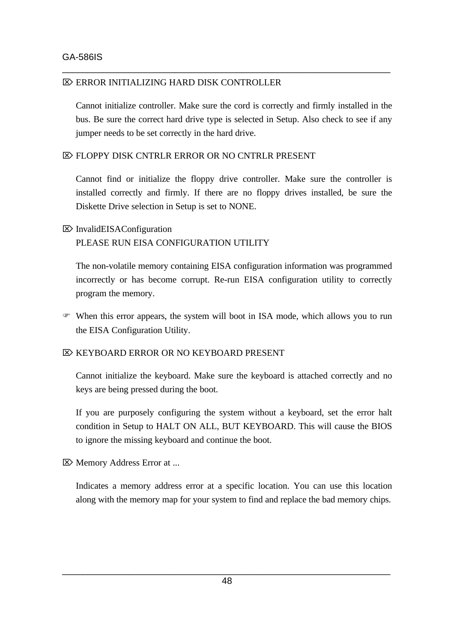#### $\mathbb{Z}$  ERROR INITIALIZING HARD DISK CONTROLLER

Cannot initialize controller. Make sure the cord is correctly and firmly installed in the bus. Be sure the correct hard drive type is selected in Setup. Also check to see if any jumper needs to be set correctly in the hard drive.

\_\_\_\_\_\_\_\_\_\_\_\_\_\_\_\_\_\_\_\_\_\_\_\_\_\_\_\_\_\_\_\_\_\_\_\_\_\_\_\_\_\_\_\_\_\_\_\_\_\_\_\_\_\_\_\_\_\_\_\_\_\_\_\_

#### $\boxtimes$  FLOPPY DISK CNTRLR ERROR OR NO CNTRLR PRESENT

Cannot find or initialize the floppy drive controller. Make sure the controller is installed correctly and firmly. If there are no floppy drives installed, be sure the Diskette Drive selection in Setup is set to NONE.

 $\triangleright$  InvalidEISAConfiguration PLEASE RUN EISA CONFIGURATION UTILITY

The non-volatile memory containing EISA configuration information was programmed incorrectly or has become corrupt. Re-run EISA configuration utility to correctly program the memory.

F When this error appears, the system will boot in ISA mode, which allows you to run the EISA Configuration Utility.

#### **E> KEYBOARD ERROR OR NO KEYBOARD PRESENT**

Cannot initialize the keyboard. Make sure the keyboard is attached correctly and no keys are being pressed during the boot.

If you are purposely configuring the system without a keyboard, set the error halt condition in Setup to HALT ON ALL, BUT KEYBOARD. This will cause the BIOS to ignore the missing keyboard and continue the boot.

 $\boxtimes$  Memory Address Error at ...

Indicates a memory address error at a specific location. You can use this location along with the memory map for your system to find and replace the bad memory chips.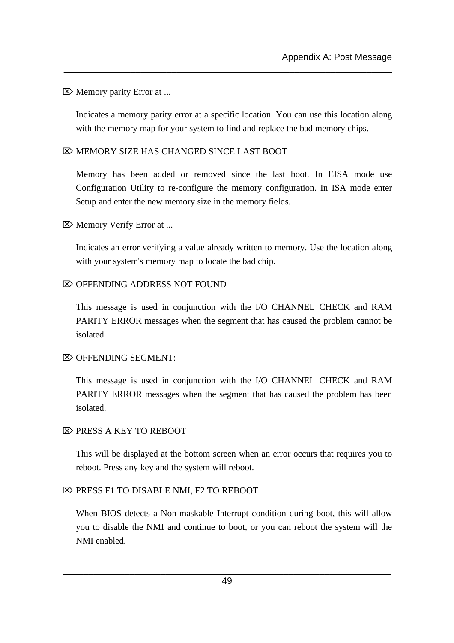#### $\boxtimes$  Memory parity Error at ...

Indicates a memory parity error at a specific location. You can use this location along with the memory map for your system to find and replace the bad memory chips.

\_\_\_\_\_\_\_\_\_\_\_\_\_\_\_\_\_\_\_\_\_\_\_\_\_\_\_\_\_\_\_\_\_\_\_\_\_\_\_\_\_\_\_\_\_\_\_\_\_\_\_\_\_\_\_\_\_\_\_\_\_\_\_\_

#### $\gg$  MEMORY SIZE HAS CHANGED SINCE LAST BOOT

Memory has been added or removed since the last boot. In EISA mode use Configuration Utility to re-configure the memory configuration. In ISA mode enter Setup and enter the new memory size in the memory fields.

#### $⊠$  Memory Verify Error at ...

Indicates an error verifying a value already written to memory. Use the location along with your system's memory map to locate the bad chip.

#### **EX OFFENDING ADDRESS NOT FOUND**

This message is used in conjunction with the I/O CHANNEL CHECK and RAM PARITY ERROR messages when the segment that has caused the problem cannot be isolated.

#### $\mathbb{Z}$  OFFENDING SEGMENT:

This message is used in conjunction with the I/O CHANNEL CHECK and RAM PARITY ERROR messages when the segment that has caused the problem has been isolated.

#### $\otimes$  PRESS A KEY TO REBOOT

This will be displayed at the bottom screen when an error occurs that requires you to reboot. Press any key and the system will reboot.

#### **EX PRESS F1 TO DISABLE NMI, F2 TO REBOOT**

When BIOS detects a Non-maskable Interrupt condition during boot, this will allow you to disable the NMI and continue to boot, or you can reboot the system will the NMI enabled.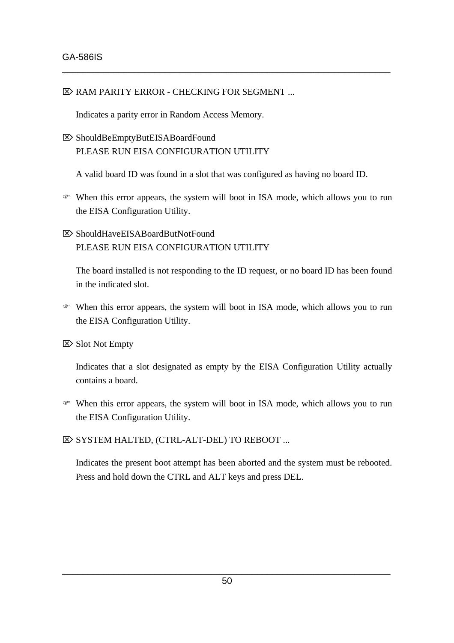#### $\overline{\infty}$  RAM PARITY ERROR - CHECKING FOR SEGMENT ...

Indicates a parity error in Random Access Memory.

### $\boxtimes$  ShouldBeEmptyButEISABoardFound PLEASE RUN EISA CONFIGURATION UTILITY

A valid board ID was found in a slot that was configured as having no board ID.

\_\_\_\_\_\_\_\_\_\_\_\_\_\_\_\_\_\_\_\_\_\_\_\_\_\_\_\_\_\_\_\_\_\_\_\_\_\_\_\_\_\_\_\_\_\_\_\_\_\_\_\_\_\_\_\_\_\_\_\_\_\_\_\_

F When this error appears, the system will boot in ISA mode, which allows you to run the EISA Configuration Utility.

### $\boxtimes$  ShouldHaveEISABoardButNotFound PLEASE RUN EISA CONFIGURATION UTILITY

The board installed is not responding to the ID request, or no board ID has been found in the indicated slot.

F When this error appears, the system will boot in ISA mode, which allows you to run the EISA Configuration Utility.

 $\boxtimes$  Slot Not Empty

Indicates that a slot designated as empty by the EISA Configuration Utility actually contains a board.

- F When this error appears, the system will boot in ISA mode, which allows you to run the EISA Configuration Utility.
- ÷ SYSTEM HALTED, (CTRL-ALT-DEL) TO REBOOT ...

Indicates the present boot attempt has been aborted and the system must be rebooted. Press and hold down the CTRL and ALT keys and press DEL.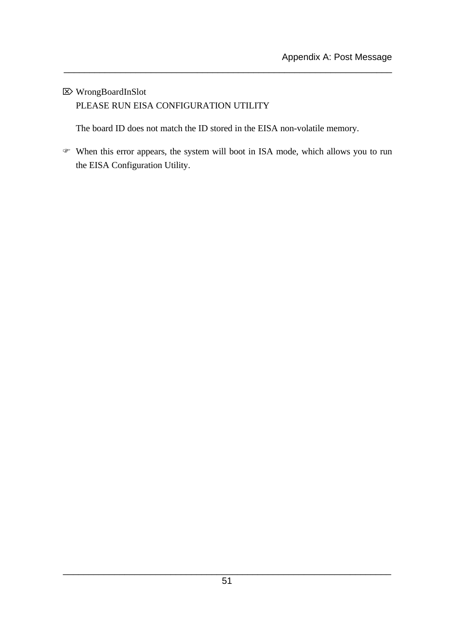### $\boxtimes$ WrongBoardInSlot PLEASE RUN EISA CONFIGURATION UTILITY

The board ID does not match the ID stored in the EISA non-volatile memory.

F When this error appears, the system will boot in ISA mode, which allows you to run the EISA Configuration Utility.

\_\_\_\_\_\_\_\_\_\_\_\_\_\_\_\_\_\_\_\_\_\_\_\_\_\_\_\_\_\_\_\_\_\_\_\_\_\_\_\_\_\_\_\_\_\_\_\_\_\_\_\_\_\_\_\_\_\_\_\_\_\_\_\_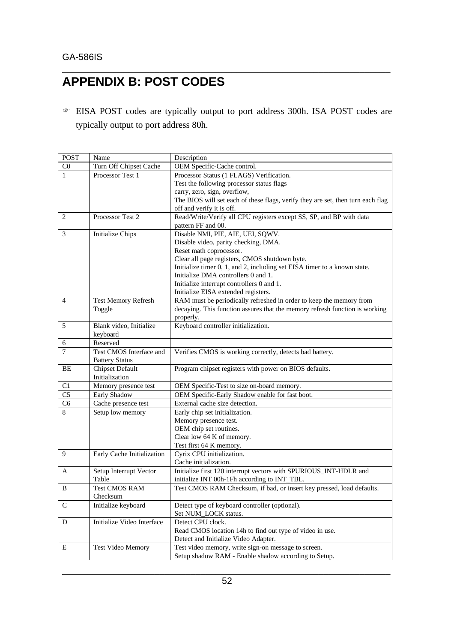# **APPENDIX B: POST CODES**

F EISA POST codes are typically output to port address 300h. ISA POST codes are typically output to port address 80h.

\_\_\_\_\_\_\_\_\_\_\_\_\_\_\_\_\_\_\_\_\_\_\_\_\_\_\_\_\_\_\_\_\_\_\_\_\_\_\_\_\_\_\_\_\_\_\_\_\_\_\_\_\_\_\_\_\_\_\_\_\_\_\_\_

| <b>POST</b>         | Name                                             | Description                                                                     |
|---------------------|--------------------------------------------------|---------------------------------------------------------------------------------|
| C <sub>0</sub>      | Turn Off Chipset Cache                           | OEM Specific-Cache control.                                                     |
| $\mathbf{1}$        | Processor Test 1                                 | Processor Status (1 FLAGS) Verification.                                        |
|                     |                                                  | Test the following processor status flags                                       |
|                     |                                                  | carry, zero, sign, overflow,                                                    |
|                     |                                                  | The BIOS will set each of these flags, verify they are set, then turn each flag |
|                     |                                                  | off and verify it is off.                                                       |
| 2                   | Processor Test 2                                 | Read/Write/Verify all CPU registers except SS, SP, and BP with data             |
|                     |                                                  | pattern FF and 00.                                                              |
| 3                   | <b>Initialize Chips</b>                          | Disable NMI, PIE, AIE, UEI, SQWV.                                               |
|                     |                                                  | Disable video, parity checking, DMA.                                            |
|                     |                                                  | Reset math coprocessor.                                                         |
|                     |                                                  | Clear all page registers, CMOS shutdown byte.                                   |
|                     |                                                  | Initialize timer 0, 1, and 2, including set EISA timer to a known state.        |
|                     |                                                  | Initialize DMA controllers 0 and 1.                                             |
|                     |                                                  | Initialize interrupt controllers 0 and 1.                                       |
|                     |                                                  | Initialize EISA extended registers.                                             |
| 4                   | Test Memory Refresh                              | RAM must be periodically refreshed in order to keep the memory from             |
|                     | Toggle                                           | decaying. This function assures that the memory refresh function is working     |
|                     |                                                  | properly.                                                                       |
| 5                   | Blank video, Initialize                          | Keyboard controller initialization.                                             |
|                     | keyboard                                         |                                                                                 |
| 6<br>$\overline{7}$ | Reserved                                         |                                                                                 |
|                     | Test CMOS Interface and<br><b>Battery Status</b> | Verifies CMOS is working correctly, detects bad battery.                        |
| BE                  | <b>Chipset Default</b>                           | Program chipset registers with power on BIOS defaults.                          |
|                     | Initialization                                   |                                                                                 |
| C1                  | Memory presence test                             | OEM Specific-Test to size on-board memory.                                      |
| C <sub>5</sub>      | Early Shadow                                     | OEM Specific-Early Shadow enable for fast boot.                                 |
| C <sub>6</sub>      | Cache presence test                              | External cache size detection.                                                  |
| 8                   | Setup low memory                                 | Early chip set initialization.                                                  |
|                     |                                                  | Memory presence test.                                                           |
|                     |                                                  | OEM chip set routines.                                                          |
|                     |                                                  | Clear low 64 K of memory.                                                       |
|                     |                                                  | Test first 64 K memory.                                                         |
| 9                   | Early Cache Initialization                       | Cyrix CPU initialization.                                                       |
|                     |                                                  | Cache initialization.                                                           |
| A                   | Setup Interrupt Vector                           | Initialize first 120 interrupt vectors with SPURIOUS_INT-HDLR and               |
|                     | Table                                            | initialize INT 00h-1Fh according to INT_TBL.                                    |
| B                   | <b>Test CMOS RAM</b>                             | Test CMOS RAM Checksum, if bad, or insert key pressed, load defaults.           |
|                     | Checksum                                         |                                                                                 |
| $\mathsf{C}$        | Initialize keyboard                              | Detect type of keyboard controller (optional).                                  |
|                     |                                                  | Set NUM_LOCK status.                                                            |
| D                   | Initialize Video Interface                       | Detect CPU clock.                                                               |
|                     |                                                  | Read CMOS location 14h to find out type of video in use.                        |
|                     |                                                  | Detect and Initialize Video Adapter.                                            |
| E                   | <b>Test Video Memory</b>                         | Test video memory, write sign-on message to screen.                             |
|                     |                                                  | Setup shadow RAM - Enable shadow according to Setup.                            |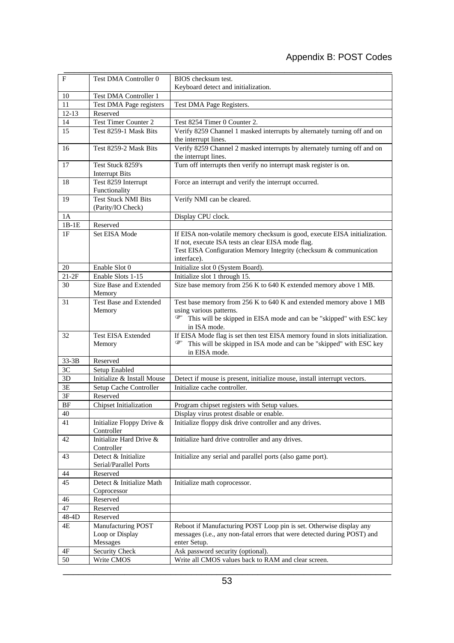| $\mathbf{F}$  | Test DMA Controller 0              | BIOS checksum test.                                                                            |  |  |  |  |
|---------------|------------------------------------|------------------------------------------------------------------------------------------------|--|--|--|--|
|               |                                    | Keyboard detect and initialization.                                                            |  |  |  |  |
| 10            | Test DMA Controller 1              |                                                                                                |  |  |  |  |
| 11            | Test DMA Page registers            | Test DMA Page Registers.                                                                       |  |  |  |  |
| $12-13$       | Reserved                           |                                                                                                |  |  |  |  |
| 14            | <b>Test Timer Counter 2</b>        | Test 8254 Timer 0 Counter 2.                                                                   |  |  |  |  |
| 15            | Test 8259-1 Mask Bits              | Verify 8259 Channel 1 masked interrupts by alternately turning off and on                      |  |  |  |  |
|               |                                    | the interrupt lines.                                                                           |  |  |  |  |
| 16            | Test 8259-2 Mask Bits              | Verify 8259 Channel 2 masked interrupts by alternately turning off and on                      |  |  |  |  |
|               |                                    | the interrupt lines.                                                                           |  |  |  |  |
| 17            | Test Stuck 8259's                  | Turn off interrupts then verify no interrupt mask register is on.                              |  |  |  |  |
|               | <b>Interrupt Bits</b>              |                                                                                                |  |  |  |  |
| 18            | Test 8259 Interrupt                | Force an interrupt and verify the interrupt occurred.                                          |  |  |  |  |
|               | Functionality                      |                                                                                                |  |  |  |  |
| 19            | <b>Test Stuck NMI Bits</b>         | Verify NMI can be cleared.                                                                     |  |  |  |  |
|               | (Parity/IO Check)                  |                                                                                                |  |  |  |  |
| 1A            |                                    | Display CPU clock.                                                                             |  |  |  |  |
| $1B-1E$       | Reserved                           |                                                                                                |  |  |  |  |
| 1F            | Set EISA Mode                      | If EISA non-volatile memory checksum is good, execute EISA initialization.                     |  |  |  |  |
|               |                                    | If not, execute ISA tests an clear EISA mode flag.                                             |  |  |  |  |
|               |                                    | Test EISA Configuration Memory Integrity (checksum & communication                             |  |  |  |  |
|               |                                    | interface).                                                                                    |  |  |  |  |
| 20<br>$21-2F$ | Enable Slot 0<br>Enable Slots 1-15 | Initialize slot 0 (System Board).                                                              |  |  |  |  |
|               | Size Base and Extended             | Initialize slot 1 through 15.                                                                  |  |  |  |  |
| 30            |                                    | Size base memory from 256 K to 640 K extended memory above 1 MB.                               |  |  |  |  |
|               | Memory<br>Test Base and Extended   |                                                                                                |  |  |  |  |
| 31            | Memory                             | Test base memory from 256 K to 640 K and extended memory above 1 MB<br>using various patterns. |  |  |  |  |
|               |                                    | ☞<br>This will be skipped in EISA mode and can be "skipped" with ESC key                       |  |  |  |  |
|               |                                    | in ISA mode.                                                                                   |  |  |  |  |
| 32            | <b>Test EISA Extended</b>          | If EISA Mode flag is set then test EISA memory found in slots initialization.                  |  |  |  |  |
|               | Memory                             | ☞<br>This will be skipped in ISA mode and can be "skipped" with ESC key                        |  |  |  |  |
|               |                                    | in EISA mode.                                                                                  |  |  |  |  |
| $33-3B$       | Reserved                           |                                                                                                |  |  |  |  |
| 3C            | Setup Enabled                      |                                                                                                |  |  |  |  |
| 3D            | Initialize & Install Mouse         | Detect if mouse is present, initialize mouse, install interrupt vectors.                       |  |  |  |  |
| 3E            | Setup Cache Controller             | Initialize cache controller.                                                                   |  |  |  |  |
| 3F            | Reserved                           |                                                                                                |  |  |  |  |
| BF            | <b>Chipset Initialization</b>      | Program chipset registers with Setup values.                                                   |  |  |  |  |
| 40            |                                    | Display virus protest disable or enable.                                                       |  |  |  |  |
| 41            | Initialize Floppy Drive &          | Initialize floppy disk drive controller and any drives.                                        |  |  |  |  |
|               | Controller                         |                                                                                                |  |  |  |  |
| 42            | Initialize Hard Drive &            | Initialize hard drive controller and any drives.                                               |  |  |  |  |
|               | Controller                         |                                                                                                |  |  |  |  |
| 43            | Detect & Initialize                | Initialize any serial and parallel ports (also game port).                                     |  |  |  |  |
|               | Serial/Parallel Ports              |                                                                                                |  |  |  |  |
| 44            | Reserved                           |                                                                                                |  |  |  |  |
| 45            | Detect & Initialize Math           | Initialize math coprocessor.                                                                   |  |  |  |  |
|               | Coprocessor                        |                                                                                                |  |  |  |  |
| 46            | Reserved                           |                                                                                                |  |  |  |  |
| 47            | Reserved                           |                                                                                                |  |  |  |  |
| 48-4D         | Reserved                           |                                                                                                |  |  |  |  |
| 4Е            | Manufacturing POST                 | Reboot if Manufacturing POST Loop pin is set. Otherwise display any                            |  |  |  |  |
|               | Loop or Display                    | messages (i.e., any non-fatal errors that were detected during POST) and                       |  |  |  |  |
|               | Messages                           | enter Setup.                                                                                   |  |  |  |  |
| 4F            | Security Check                     | Ask password security (optional).                                                              |  |  |  |  |
| 50            | Write CMOS                         | Write all CMOS values back to RAM and clear screen.                                            |  |  |  |  |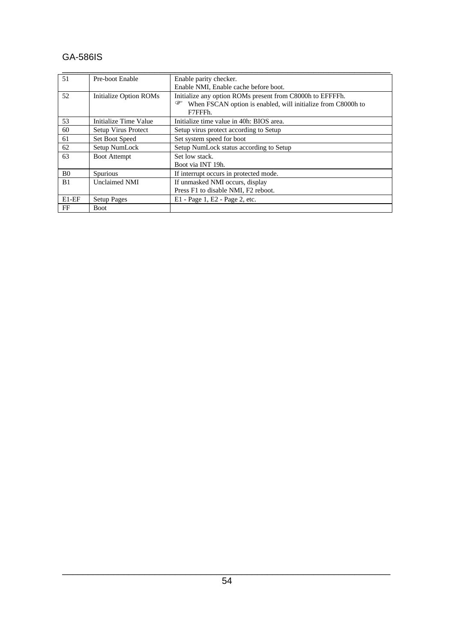# GA-586IS

| 51             | Pre-boot Enable<br>Enable parity checker. |                                                                   |  |  |  |  |
|----------------|-------------------------------------------|-------------------------------------------------------------------|--|--|--|--|
|                |                                           | Enable NMI, Enable cache before boot.                             |  |  |  |  |
| 52             | Initialize Option ROMs                    | Initialize any option ROMs present from C8000h to EFFFFh.         |  |  |  |  |
|                |                                           | When FSCAN option is enabled, will initialize from C8000h to<br>☞ |  |  |  |  |
|                |                                           | F7FFFh.                                                           |  |  |  |  |
| 53             | Initialize Time Value                     | Initialize time value in 40h: BIOS area.                          |  |  |  |  |
| 60             | Setup Virus Protect                       | Setup virus protect according to Setup                            |  |  |  |  |
| 61             | Set Boot Speed                            | Set system speed for boot                                         |  |  |  |  |
| 62             | Setup NumLock                             | Setup NumLock status according to Setup                           |  |  |  |  |
| 63             | <b>Boot Attempt</b>                       | Set low stack.                                                    |  |  |  |  |
|                |                                           | Boot via INT 19h.                                                 |  |  |  |  |
| B <sub>0</sub> | <b>Spurious</b>                           | If interrupt occurs in protected mode.                            |  |  |  |  |
| B1             | <b>Unclaimed NMI</b>                      | If unmasked NMI occurs, display                                   |  |  |  |  |
|                |                                           | Press F1 to disable NMI, F2 reboot.                               |  |  |  |  |
| $E1-EF$        | <b>Setup Pages</b>                        | E1 - Page 1, E2 - Page 2, etc.                                    |  |  |  |  |
| FF             | <b>Boot</b>                               |                                                                   |  |  |  |  |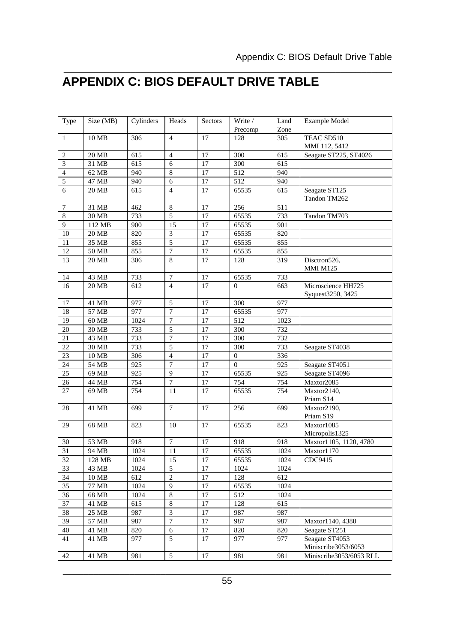# **APPENDIX C: BIOS DEFAULT DRIVE TABLE**

\_\_\_\_\_\_\_\_\_\_\_\_\_\_\_\_\_\_\_\_\_\_\_\_\_\_\_\_\_\_\_\_\_\_\_\_\_\_\_\_\_\_\_\_\_\_\_\_\_\_\_\_\_\_\_\_\_\_\_\_\_\_\_\_

| Type            | Size (MB)         | Cylinders | Heads            | Sectors | Write /        | Land | Example Model                           |
|-----------------|-------------------|-----------|------------------|---------|----------------|------|-----------------------------------------|
|                 |                   |           |                  |         | Precomp        | Zone |                                         |
| $\mathbf{1}$    | 10 MB             | 306       | $\overline{4}$   | 17      | 128            | 305  | TEAC SD510<br>MMI 112, 5412             |
| 2               | 20 MB             | 615       | $\overline{4}$   | 17      | 300            | 615  | Seagate ST225, ST4026                   |
| 3               | 31 MB             | 615       | 6                | 17      | 300            | 615  |                                         |
| $\overline{4}$  | 62 MB             | 940       | 8                | 17      | 512            | 940  |                                         |
| $\sqrt{5}$      | 47 MB             | 940       | 6                | 17      | 512            | 940  |                                         |
| 6               | 20 MB             | 615       | $\overline{4}$   | 17      | 65535          | 615  | Seagate ST125<br>Tandon TM262           |
| $\overline{7}$  | 31 MB             | 462       | 8                | 17      | 256            | 511  |                                         |
| $\,8\,$         | 30 MB             | 733       | 5                | 17      | 65535          | 733  | Tandon TM703                            |
| 9               | 112 MB            | 900       | 15               | 17      | 65535          | 901  |                                         |
| $10\,$          | $20\ \mathrm{MB}$ | 820       | 3                | 17      | 65535          | 820  |                                         |
| $11\,$          | 35 MB             | 855       | 5                | 17      | 65535          | 855  |                                         |
| 12              | 50 MB             | 855       | 7                | 17      | 65535          | 855  |                                         |
| 13              | 20 MB             | 306       | 8                | 17      | 128            | 319  | Disctron526,                            |
|                 |                   |           |                  |         |                |      | <b>MMI M125</b>                         |
| 14              | 43 MB             | 733       | $\tau$           | 17      | 65535          | 733  |                                         |
| 16              | 20 MB             | 612       | $\overline{4}$   | 17      | $\overline{0}$ | 663  | Microscience HH725<br>Syquest3250, 3425 |
| 17              | 41 MB             | 977       | 5                | 17      | 300            | 977  |                                         |
| 18              | 57 MB             | 977       | $\overline{7}$   | 17      | 65535          | 977  |                                         |
| 19              | $60\ \mathrm{MB}$ | 1024      | 7                | 17      | 512            | 1023 |                                         |
| 20              | 30 MB             | 733       | 5                | 17      | 300            | 732  |                                         |
| 21              | 43 MB             | 733       | 7                | 17      | 300            | 732  |                                         |
| 22              | 30 MB             | 733       | 5                | 17      | 300            | 733  | Seagate ST4038                          |
| 23              | 10 MB             | 306       | $\overline{4}$   | 17      | $\overline{0}$ | 336  |                                         |
| 24              | 54 MB             | 925       | 7                | 17      | $\overline{0}$ | 925  | Seagate ST4051                          |
| $25\,$          | 69 MB             | 925       | 9                | 17      | 65535          | 925  | Seagate ST4096                          |
| 26              | 44 MB             | 754       | $\overline{7}$   | 17      | 754            | 754  | Maxtor2085                              |
| 27              | 69 MB             | 754       | 11               | 17      | 65535          | 754  | Maxtor2140,                             |
|                 |                   |           |                  |         |                |      | Priam S14                               |
| 28              | 41 MB             | 699       | $\overline{7}$   | 17      | 256            | 699  | Maxtor2190,                             |
|                 |                   |           |                  |         |                |      | Priam S19                               |
| 29              | 68 MB             | 823       | 10               | 17      | 65535          | 823  | Maxtor1085                              |
|                 |                   |           |                  |         |                |      | Micropolis1325                          |
| $30\,$          | 53 MB             | 918       | $\boldsymbol{7}$ | 17      | 918            | 918  | Maxtor1105, 1120, 4780                  |
| 31              | 94 MB             | 1024      | 11               | $17\,$  | 65535          | 1024 | Maxtor1170                              |
| $\overline{32}$ | 128 MB            | 1024      | 15               | 17      | 65535          | 1024 | CDC9415                                 |
| 33              | 43 MB             | 1024      | 5                | 17      | 1024           | 1024 |                                         |
| 34              | 10 MB             | 612       | $\mathfrak{2}$   | 17      | 128            | 612  |                                         |
| 35              | 77 MB             | 1024      | 9                | 17      | 65535          | 1024 |                                         |
| 36              | 68 MB             | 1024      | $\,8\,$          | 17      | 512            | 1024 |                                         |
| 37              | 41 MB             | 615       | $\,8\,$          | 17      | 128            | 615  |                                         |
| 38              | 25 MB             | 987       | $\mathfrak{Z}$   | 17      | 987            | 987  |                                         |
| 39              | 57 MB             | 987       | $\boldsymbol{7}$ | 17      | 987            | 987  | Maxtor1140, 4380                        |
| 40              | 41 MB             | 820       | 6                | 17      | 820            | 820  | Seagate ST251                           |
| 41              | 41 MB             | 977       | 5                | 17      | 977            | 977  | Seagate ST4053<br>Miniscribe3053/6053   |
| 42              | 41 MB             | 981       | 5                | 17      | 981            | 981  | Miniscribe3053/6053 RLL                 |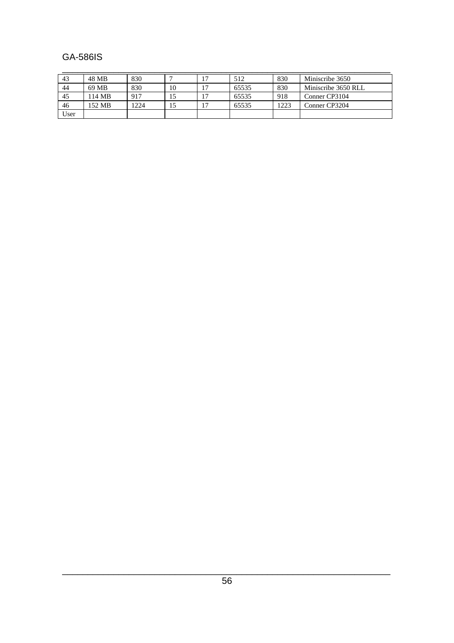### GA-586IS

| 43   | 48 MB  | 830  |    | 512   | 830  | Miniscribe 3650     |
|------|--------|------|----|-------|------|---------------------|
| 44   | 69 MB  | 830  | 10 | 65535 | 830  | Miniscribe 3650 RLL |
| 45   | 114 MB | 917  |    | 65535 | 918  | Conner CP3104       |
| 46   | 152 MB | 1224 |    | 65535 | 1223 | Conner CP3204       |
| User |        |      |    |       |      |                     |